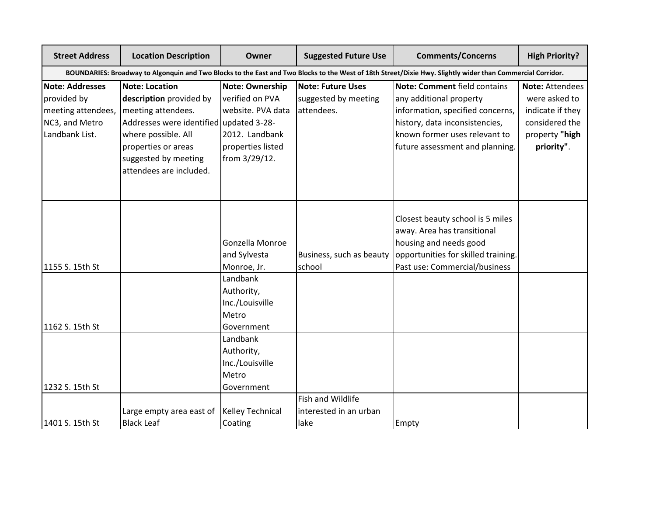| <b>Street Address</b>                                                                                                                                      | <b>Location Description</b>             | Owner                   | <b>Suggested Future Use</b> | <b>Comments/Concerns</b>            | <b>High Priority?</b> |  |
|------------------------------------------------------------------------------------------------------------------------------------------------------------|-----------------------------------------|-------------------------|-----------------------------|-------------------------------------|-----------------------|--|
| BOUNDARIES: Broadway to Algonquin and Two Blocks to the East and Two Blocks to the West of 18th Street/Dixie Hwy. Slightly wider than Commercial Corridor. |                                         |                         |                             |                                     |                       |  |
| <b>Note: Addresses</b>                                                                                                                                     | Note: Location                          | <b>Note: Ownership</b>  | <b>Note: Future Uses</b>    | Note: Comment field contains        | Note: Attendees       |  |
| provided by                                                                                                                                                | description provided by                 | verified on PVA         | suggested by meeting        | any additional property             | were asked to         |  |
| meeting attendees,                                                                                                                                         | meeting attendees.                      | website. PVA data       | attendees.                  | information, specified concerns,    | indicate if they      |  |
| NC3, and Metro                                                                                                                                             | Addresses were identified updated 3-28- |                         |                             | history, data inconsistencies,      | considered the        |  |
| Landbank List.                                                                                                                                             | where possible. All                     | 2012. Landbank          |                             | known former uses relevant to       | property "high        |  |
|                                                                                                                                                            | properties or areas                     | properties listed       |                             | future assessment and planning.     | priority".            |  |
|                                                                                                                                                            | suggested by meeting                    | from 3/29/12.           |                             |                                     |                       |  |
|                                                                                                                                                            | attendees are included.                 |                         |                             |                                     |                       |  |
|                                                                                                                                                            |                                         |                         |                             |                                     |                       |  |
|                                                                                                                                                            |                                         |                         |                             |                                     |                       |  |
|                                                                                                                                                            |                                         |                         |                             | Closest beauty school is 5 miles    |                       |  |
|                                                                                                                                                            |                                         |                         |                             | away. Area has transitional         |                       |  |
|                                                                                                                                                            |                                         | Gonzella Monroe         |                             | housing and needs good              |                       |  |
|                                                                                                                                                            |                                         | and Sylvesta            | Business, such as beauty    | opportunities for skilled training. |                       |  |
| 1155 S. 15th St                                                                                                                                            |                                         | Monroe, Jr.             | school                      | Past use: Commercial/business       |                       |  |
|                                                                                                                                                            |                                         | Landbank                |                             |                                     |                       |  |
|                                                                                                                                                            |                                         | Authority,              |                             |                                     |                       |  |
|                                                                                                                                                            |                                         | Inc./Louisville         |                             |                                     |                       |  |
|                                                                                                                                                            |                                         | Metro                   |                             |                                     |                       |  |
| 1162 S. 15th St                                                                                                                                            |                                         | Government              |                             |                                     |                       |  |
|                                                                                                                                                            |                                         | Landbank                |                             |                                     |                       |  |
|                                                                                                                                                            |                                         | Authority,              |                             |                                     |                       |  |
|                                                                                                                                                            |                                         | Inc./Louisville         |                             |                                     |                       |  |
|                                                                                                                                                            |                                         | Metro                   |                             |                                     |                       |  |
| 1232 S. 15th St                                                                                                                                            |                                         | Government              |                             |                                     |                       |  |
|                                                                                                                                                            |                                         |                         | Fish and Wildlife           |                                     |                       |  |
|                                                                                                                                                            | Large empty area east of                | <b>Kelley Technical</b> | interested in an urban      |                                     |                       |  |
| 1401 S. 15th St                                                                                                                                            | <b>Black Leaf</b>                       | Coating                 | lake                        | Empty                               |                       |  |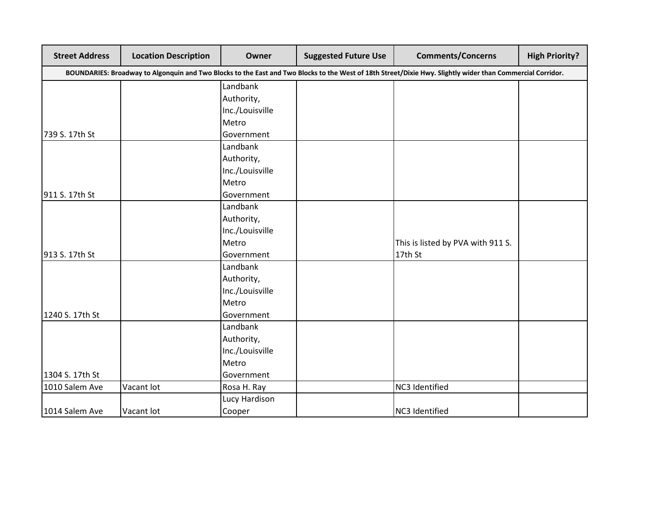| <b>Street Address</b> | <b>Location Description</b>                                                                                                                                | Owner           | <b>Suggested Future Use</b> | <b>Comments/Concerns</b>          | <b>High Priority?</b> |  |  |  |
|-----------------------|------------------------------------------------------------------------------------------------------------------------------------------------------------|-----------------|-----------------------------|-----------------------------------|-----------------------|--|--|--|
|                       | BOUNDARIES: Broadway to Algonquin and Two Blocks to the East and Two Blocks to the West of 18th Street/Dixie Hwy. Slightly wider than Commercial Corridor. |                 |                             |                                   |                       |  |  |  |
|                       |                                                                                                                                                            | Landbank        |                             |                                   |                       |  |  |  |
|                       |                                                                                                                                                            | Authority,      |                             |                                   |                       |  |  |  |
|                       |                                                                                                                                                            | Inc./Louisville |                             |                                   |                       |  |  |  |
|                       |                                                                                                                                                            | Metro           |                             |                                   |                       |  |  |  |
| 739 S. 17th St        |                                                                                                                                                            | Government      |                             |                                   |                       |  |  |  |
|                       |                                                                                                                                                            | Landbank        |                             |                                   |                       |  |  |  |
|                       |                                                                                                                                                            | Authority,      |                             |                                   |                       |  |  |  |
|                       |                                                                                                                                                            | Inc./Louisville |                             |                                   |                       |  |  |  |
|                       |                                                                                                                                                            | Metro           |                             |                                   |                       |  |  |  |
| 911 S. 17th St        |                                                                                                                                                            | Government      |                             |                                   |                       |  |  |  |
|                       |                                                                                                                                                            | Landbank        |                             |                                   |                       |  |  |  |
|                       |                                                                                                                                                            | Authority,      |                             |                                   |                       |  |  |  |
|                       |                                                                                                                                                            | Inc./Louisville |                             |                                   |                       |  |  |  |
|                       |                                                                                                                                                            | Metro           |                             | This is listed by PVA with 911 S. |                       |  |  |  |
| 913 S. 17th St        |                                                                                                                                                            | Government      |                             | 17th St                           |                       |  |  |  |
|                       |                                                                                                                                                            | Landbank        |                             |                                   |                       |  |  |  |
|                       |                                                                                                                                                            | Authority,      |                             |                                   |                       |  |  |  |
|                       |                                                                                                                                                            | Inc./Louisville |                             |                                   |                       |  |  |  |
|                       |                                                                                                                                                            | Metro           |                             |                                   |                       |  |  |  |
| 1240 S. 17th St       |                                                                                                                                                            | Government      |                             |                                   |                       |  |  |  |
|                       |                                                                                                                                                            | Landbank        |                             |                                   |                       |  |  |  |
|                       |                                                                                                                                                            | Authority,      |                             |                                   |                       |  |  |  |
|                       |                                                                                                                                                            | Inc./Louisville |                             |                                   |                       |  |  |  |
|                       |                                                                                                                                                            | Metro           |                             |                                   |                       |  |  |  |
| 1304 S. 17th St       |                                                                                                                                                            | Government      |                             |                                   |                       |  |  |  |
| 1010 Salem Ave        | Vacant lot                                                                                                                                                 | Rosa H. Ray     |                             | NC3 Identified                    |                       |  |  |  |
|                       |                                                                                                                                                            | Lucy Hardison   |                             |                                   |                       |  |  |  |
| 1014 Salem Ave        | Vacant lot                                                                                                                                                 | Cooper          |                             | NC3 Identified                    |                       |  |  |  |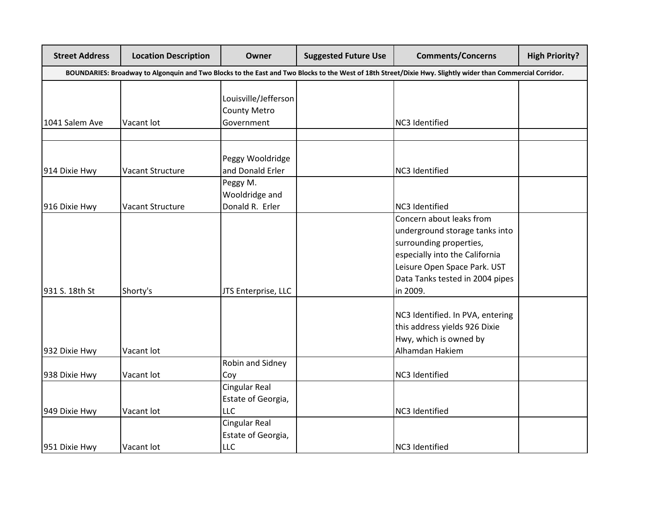| <b>Street Address</b> | <b>Location Description</b>                                                                                                                                | Owner                                                     | <b>Suggested Future Use</b> | <b>Comments/Concerns</b>                                                                                                                                                                               | <b>High Priority?</b> |  |  |  |
|-----------------------|------------------------------------------------------------------------------------------------------------------------------------------------------------|-----------------------------------------------------------|-----------------------------|--------------------------------------------------------------------------------------------------------------------------------------------------------------------------------------------------------|-----------------------|--|--|--|
|                       | BOUNDARIES: Broadway to Algonquin and Two Blocks to the East and Two Blocks to the West of 18th Street/Dixie Hwy. Slightly wider than Commercial Corridor. |                                                           |                             |                                                                                                                                                                                                        |                       |  |  |  |
| 1041 Salem Ave        | Vacant lot                                                                                                                                                 | Louisville/Jefferson<br><b>County Metro</b><br>Government |                             | NC3 Identified                                                                                                                                                                                         |                       |  |  |  |
|                       |                                                                                                                                                            |                                                           |                             |                                                                                                                                                                                                        |                       |  |  |  |
| 914 Dixie Hwy         | Vacant Structure                                                                                                                                           | Peggy Wooldridge<br>and Donald Erler                      |                             | NC3 Identified                                                                                                                                                                                         |                       |  |  |  |
| 916 Dixie Hwy         | Vacant Structure                                                                                                                                           | Peggy M.<br>Wooldridge and<br>Donald R. Erler             |                             | NC3 Identified                                                                                                                                                                                         |                       |  |  |  |
| 931 S. 18th St        | Shorty's                                                                                                                                                   | JTS Enterprise, LLC                                       |                             | Concern about leaks from<br>underground storage tanks into<br>surrounding properties,<br>especially into the California<br>Leisure Open Space Park. UST<br>Data Tanks tested in 2004 pipes<br>in 2009. |                       |  |  |  |
| 932 Dixie Hwy         | Vacant lot                                                                                                                                                 |                                                           |                             | NC3 Identified. In PVA, entering<br>this address yields 926 Dixie<br>Hwy, which is owned by<br>Alhamdan Hakiem                                                                                         |                       |  |  |  |
| 938 Dixie Hwy         | Vacant lot                                                                                                                                                 | Robin and Sidney<br>Coy                                   |                             | NC3 Identified                                                                                                                                                                                         |                       |  |  |  |
| 949 Dixie Hwy         | Vacant lot                                                                                                                                                 | <b>Cingular Real</b><br>Estate of Georgia,<br><b>LLC</b>  |                             | NC3 Identified                                                                                                                                                                                         |                       |  |  |  |
| 951 Dixie Hwy         | Vacant lot                                                                                                                                                 | Cingular Real<br>Estate of Georgia,<br><b>LLC</b>         |                             | NC3 Identified                                                                                                                                                                                         |                       |  |  |  |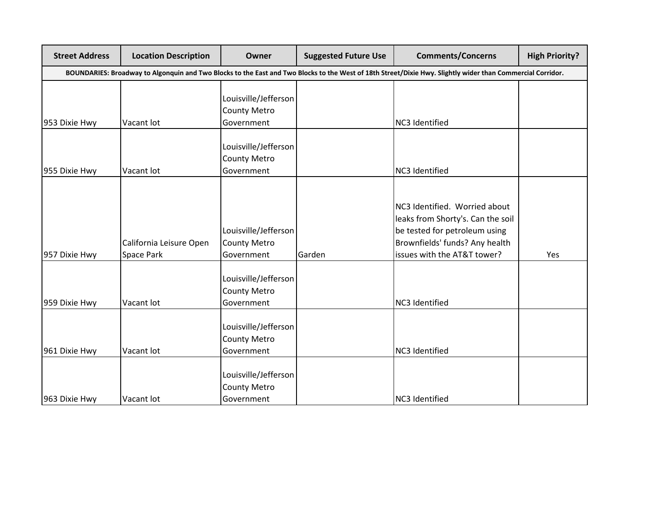| <b>Street Address</b>                                                                                                                                      | <b>Location Description</b>           | Owner                                                     | <b>Suggested Future Use</b> | <b>Comments/Concerns</b>                                                                                                                                             | <b>High Priority?</b> |  |
|------------------------------------------------------------------------------------------------------------------------------------------------------------|---------------------------------------|-----------------------------------------------------------|-----------------------------|----------------------------------------------------------------------------------------------------------------------------------------------------------------------|-----------------------|--|
| BOUNDARIES: Broadway to Algonquin and Two Blocks to the East and Two Blocks to the West of 18th Street/Dixie Hwy. Slightly wider than Commercial Corridor. |                                       |                                                           |                             |                                                                                                                                                                      |                       |  |
| 953 Dixie Hwy                                                                                                                                              | Vacant lot                            | Louisville/Jefferson<br><b>County Metro</b><br>Government |                             | NC3 Identified                                                                                                                                                       |                       |  |
| 955 Dixie Hwy                                                                                                                                              | Vacant lot                            | Louisville/Jefferson<br><b>County Metro</b><br>Government |                             | NC3 Identified                                                                                                                                                       |                       |  |
| 957 Dixie Hwy                                                                                                                                              | California Leisure Open<br>Space Park | Louisville/Jefferson<br><b>County Metro</b><br>Government | Garden                      | NC3 Identified. Worried about<br>leaks from Shorty's. Can the soil<br>be tested for petroleum using<br>Brownfields' funds? Any health<br>issues with the AT&T tower? | Yes                   |  |
| 959 Dixie Hwy                                                                                                                                              | Vacant lot                            | Louisville/Jefferson<br><b>County Metro</b><br>Government |                             | NC3 Identified                                                                                                                                                       |                       |  |
| 961 Dixie Hwy                                                                                                                                              | Vacant lot                            | Louisville/Jefferson<br><b>County Metro</b><br>Government |                             | NC3 Identified                                                                                                                                                       |                       |  |
| 963 Dixie Hwy                                                                                                                                              | Vacant lot                            | Louisville/Jefferson<br><b>County Metro</b><br>Government |                             | NC3 Identified                                                                                                                                                       |                       |  |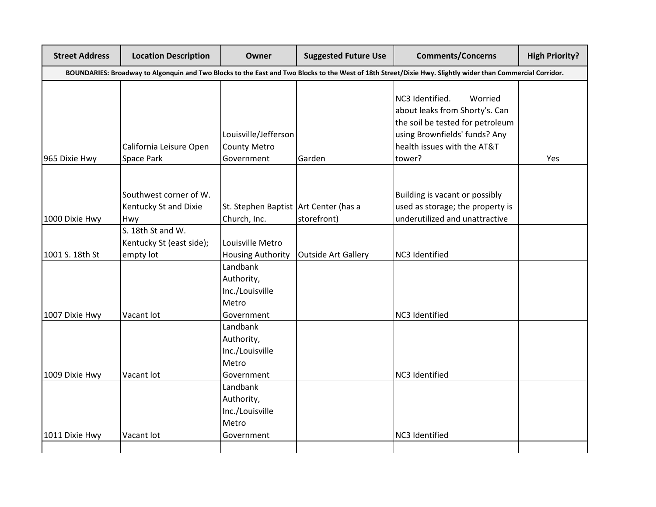| <b>Street Address</b> | <b>Location Description</b>                                | Owner                                                            | <b>Suggested Future Use</b> | <b>Comments/Concerns</b>                                                                                                                                                   | <b>High Priority?</b> |
|-----------------------|------------------------------------------------------------|------------------------------------------------------------------|-----------------------------|----------------------------------------------------------------------------------------------------------------------------------------------------------------------------|-----------------------|
|                       |                                                            |                                                                  |                             | BOUNDARIES: Broadway to Algonquin and Two Blocks to the East and Two Blocks to the West of 18th Street/Dixie Hwy. Slightly wider than Commercial Corridor.                 |                       |
| 965 Dixie Hwy         | California Leisure Open<br>Space Park                      | Louisville/Jefferson<br><b>County Metro</b><br>Government        | Garden                      | NC3 Identified.<br>Worried<br>about leaks from Shorty's. Can<br>the soil be tested for petroleum<br>using Brownfields' funds? Any<br>health issues with the AT&T<br>tower? | Yes                   |
| 1000 Dixie Hwy        | Southwest corner of W.<br>Kentucky St and Dixie<br>Hwy     | St. Stephen Baptist Art Center (has a<br>Church, Inc.            | storefront)                 | Building is vacant or possibly<br>used as storage; the property is<br>underutilized and unattractive                                                                       |                       |
| 1001 S. 18th St       | S. 18th St and W.<br>Kentucky St (east side);<br>empty lot | Louisville Metro<br><b>Housing Authority</b>                     | Outside Art Gallery         | NC3 Identified                                                                                                                                                             |                       |
|                       |                                                            | Landbank<br>Authority,<br>Inc./Louisville<br>Metro               |                             |                                                                                                                                                                            |                       |
| 1007 Dixie Hwy        | Vacant lot                                                 | Government<br>Landbank<br>Authority,<br>Inc./Louisville<br>Metro |                             | NC3 Identified                                                                                                                                                             |                       |
| 1009 Dixie Hwy        | Vacant lot                                                 | Government<br>Landbank<br>Authority,<br>Inc./Louisville<br>Metro |                             | NC3 Identified                                                                                                                                                             |                       |
| 1011 Dixie Hwy        | Vacant lot                                                 | Government                                                       |                             | NC3 Identified                                                                                                                                                             |                       |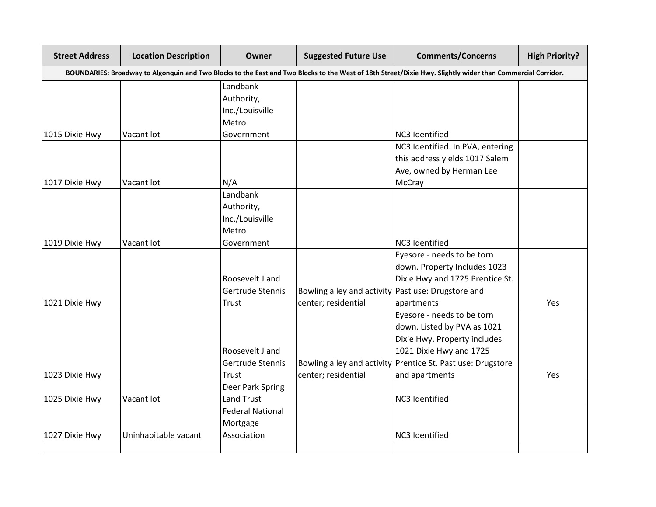| <b>Street Address</b> | <b>Location Description</b> | Owner                   | <b>Suggested Future Use</b>                        | <b>Comments/Concerns</b>                                                                                                                                   | <b>High Priority?</b> |
|-----------------------|-----------------------------|-------------------------|----------------------------------------------------|------------------------------------------------------------------------------------------------------------------------------------------------------------|-----------------------|
|                       |                             |                         |                                                    | BOUNDARIES: Broadway to Algonquin and Two Blocks to the East and Two Blocks to the West of 18th Street/Dixie Hwy. Slightly wider than Commercial Corridor. |                       |
|                       |                             | Landbank                |                                                    |                                                                                                                                                            |                       |
|                       |                             | Authority,              |                                                    |                                                                                                                                                            |                       |
|                       |                             | Inc./Louisville         |                                                    |                                                                                                                                                            |                       |
|                       |                             | Metro                   |                                                    |                                                                                                                                                            |                       |
| 1015 Dixie Hwy        | Vacant lot                  | Government              |                                                    | NC3 Identified                                                                                                                                             |                       |
|                       |                             |                         |                                                    | NC3 Identified. In PVA, entering                                                                                                                           |                       |
|                       |                             |                         |                                                    | this address yields 1017 Salem                                                                                                                             |                       |
|                       |                             |                         |                                                    | Ave, owned by Herman Lee                                                                                                                                   |                       |
| 1017 Dixie Hwy        | Vacant lot                  | N/A                     |                                                    | <b>McCray</b>                                                                                                                                              |                       |
|                       |                             | Landbank                |                                                    |                                                                                                                                                            |                       |
|                       |                             | Authority,              |                                                    |                                                                                                                                                            |                       |
|                       |                             | Inc./Louisville         |                                                    |                                                                                                                                                            |                       |
|                       |                             | Metro                   |                                                    |                                                                                                                                                            |                       |
| 1019 Dixie Hwy        | Vacant lot                  | Government              |                                                    | NC3 Identified                                                                                                                                             |                       |
|                       |                             |                         |                                                    | Eyesore - needs to be torn                                                                                                                                 |                       |
|                       |                             |                         |                                                    | down. Property Includes 1023                                                                                                                               |                       |
|                       |                             | Roosevelt J and         |                                                    | Dixie Hwy and 1725 Prentice St.                                                                                                                            |                       |
|                       |                             | Gertrude Stennis        | Bowling alley and activity Past use: Drugstore and |                                                                                                                                                            |                       |
| 1021 Dixie Hwy        |                             | <b>Trust</b>            | center; residential                                | apartments                                                                                                                                                 | Yes                   |
|                       |                             |                         |                                                    | Eyesore - needs to be torn                                                                                                                                 |                       |
|                       |                             |                         |                                                    | down. Listed by PVA as 1021                                                                                                                                |                       |
|                       |                             |                         |                                                    | Dixie Hwy. Property includes                                                                                                                               |                       |
|                       |                             | Roosevelt J and         |                                                    | 1021 Dixie Hwy and 1725                                                                                                                                    |                       |
|                       |                             | Gertrude Stennis        |                                                    | Bowling alley and activity Prentice St. Past use: Drugstore                                                                                                |                       |
| 1023 Dixie Hwy        |                             | Trust                   | center; residential                                | and apartments                                                                                                                                             | Yes                   |
|                       |                             | Deer Park Spring        |                                                    |                                                                                                                                                            |                       |
| 1025 Dixie Hwy        | Vacant lot                  | Land Trust              |                                                    | NC3 Identified                                                                                                                                             |                       |
|                       |                             | <b>Federal National</b> |                                                    |                                                                                                                                                            |                       |
|                       |                             | Mortgage                |                                                    |                                                                                                                                                            |                       |
| 1027 Dixie Hwy        | Uninhabitable vacant        | Association             |                                                    | NC3 Identified                                                                                                                                             |                       |
|                       |                             |                         |                                                    |                                                                                                                                                            |                       |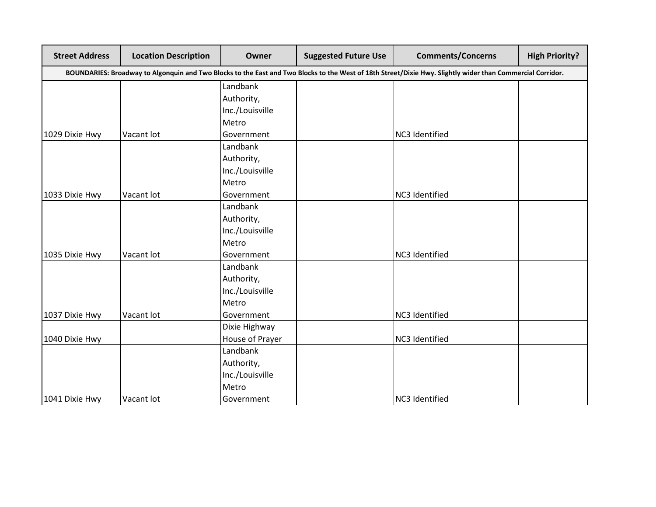| <b>Street Address</b>                                                                                                                                      | <b>Location Description</b> | Owner           | <b>Suggested Future Use</b> | <b>Comments/Concerns</b> | <b>High Priority?</b> |
|------------------------------------------------------------------------------------------------------------------------------------------------------------|-----------------------------|-----------------|-----------------------------|--------------------------|-----------------------|
| BOUNDARIES: Broadway to Algonquin and Two Blocks to the East and Two Blocks to the West of 18th Street/Dixie Hwy. Slightly wider than Commercial Corridor. |                             |                 |                             |                          |                       |
|                                                                                                                                                            |                             | Landbank        |                             |                          |                       |
|                                                                                                                                                            |                             | Authority,      |                             |                          |                       |
|                                                                                                                                                            |                             | Inc./Louisville |                             |                          |                       |
|                                                                                                                                                            |                             | Metro           |                             |                          |                       |
| 1029 Dixie Hwy                                                                                                                                             | Vacant lot                  | Government      |                             | NC3 Identified           |                       |
|                                                                                                                                                            |                             | Landbank        |                             |                          |                       |
|                                                                                                                                                            |                             | Authority,      |                             |                          |                       |
|                                                                                                                                                            |                             | Inc./Louisville |                             |                          |                       |
|                                                                                                                                                            |                             | Metro           |                             |                          |                       |
| 1033 Dixie Hwy                                                                                                                                             | Vacant lot                  | Government      |                             | NC3 Identified           |                       |
|                                                                                                                                                            |                             | Landbank        |                             |                          |                       |
|                                                                                                                                                            |                             | Authority,      |                             |                          |                       |
|                                                                                                                                                            |                             | Inc./Louisville |                             |                          |                       |
|                                                                                                                                                            |                             | Metro           |                             |                          |                       |
| 1035 Dixie Hwy                                                                                                                                             | Vacant lot                  | Government      |                             | NC3 Identified           |                       |
|                                                                                                                                                            |                             | Landbank        |                             |                          |                       |
|                                                                                                                                                            |                             | Authority,      |                             |                          |                       |
|                                                                                                                                                            |                             | Inc./Louisville |                             |                          |                       |
|                                                                                                                                                            |                             | Metro           |                             |                          |                       |
| 1037 Dixie Hwy                                                                                                                                             | Vacant lot                  | Government      |                             | NC3 Identified           |                       |
|                                                                                                                                                            |                             | Dixie Highway   |                             |                          |                       |
| 1040 Dixie Hwy                                                                                                                                             |                             | House of Prayer |                             | NC3 Identified           |                       |
|                                                                                                                                                            |                             | Landbank        |                             |                          |                       |
|                                                                                                                                                            |                             | Authority,      |                             |                          |                       |
|                                                                                                                                                            |                             | Inc./Louisville |                             |                          |                       |
|                                                                                                                                                            |                             | Metro           |                             |                          |                       |
| 1041 Dixie Hwy                                                                                                                                             | Vacant lot                  | Government      |                             | NC3 Identified           |                       |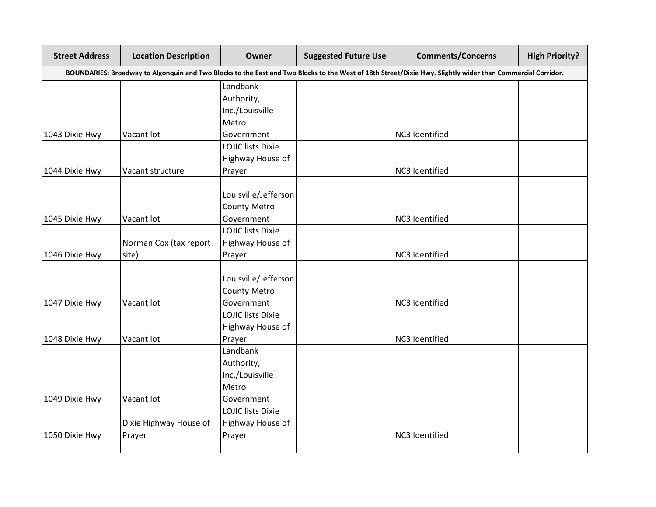| <b>Street Address</b> | <b>Location Description</b>                                                                                                                                | Owner                    | <b>Suggested Future Use</b> | <b>Comments/Concerns</b> | <b>High Priority?</b> |  |  |  |
|-----------------------|------------------------------------------------------------------------------------------------------------------------------------------------------------|--------------------------|-----------------------------|--------------------------|-----------------------|--|--|--|
|                       | BOUNDARIES: Broadway to Algonquin and Two Blocks to the East and Two Blocks to the West of 18th Street/Dixie Hwy. Slightly wider than Commercial Corridor. |                          |                             |                          |                       |  |  |  |
|                       |                                                                                                                                                            | Landbank                 |                             |                          |                       |  |  |  |
|                       |                                                                                                                                                            | Authority,               |                             |                          |                       |  |  |  |
|                       |                                                                                                                                                            | Inc./Louisville          |                             |                          |                       |  |  |  |
|                       |                                                                                                                                                            | Metro                    |                             |                          |                       |  |  |  |
| 1043 Dixie Hwy        | Vacant lot                                                                                                                                                 | Government               |                             | NC3 Identified           |                       |  |  |  |
|                       |                                                                                                                                                            | <b>LOJIC lists Dixie</b> |                             |                          |                       |  |  |  |
|                       |                                                                                                                                                            | Highway House of         |                             |                          |                       |  |  |  |
| 1044 Dixie Hwy        | Vacant structure                                                                                                                                           | Prayer                   |                             | NC3 Identified           |                       |  |  |  |
|                       |                                                                                                                                                            | Louisville/Jefferson     |                             |                          |                       |  |  |  |
|                       |                                                                                                                                                            | <b>County Metro</b>      |                             |                          |                       |  |  |  |
| 1045 Dixie Hwy        | Vacant lot                                                                                                                                                 | Government               |                             | NC3 Identified           |                       |  |  |  |
|                       |                                                                                                                                                            | <b>LOJIC lists Dixie</b> |                             |                          |                       |  |  |  |
|                       | Norman Cox (tax report                                                                                                                                     | Highway House of         |                             |                          |                       |  |  |  |
| 1046 Dixie Hwy        | site)                                                                                                                                                      | Prayer                   |                             | NC3 Identified           |                       |  |  |  |
|                       |                                                                                                                                                            |                          |                             |                          |                       |  |  |  |
|                       |                                                                                                                                                            | Louisville/Jefferson     |                             |                          |                       |  |  |  |
|                       |                                                                                                                                                            | <b>County Metro</b>      |                             |                          |                       |  |  |  |
| 1047 Dixie Hwy        | Vacant lot                                                                                                                                                 | Government               |                             | NC3 Identified           |                       |  |  |  |
|                       |                                                                                                                                                            | <b>LOJIC lists Dixie</b> |                             |                          |                       |  |  |  |
|                       |                                                                                                                                                            | Highway House of         |                             |                          |                       |  |  |  |
| 1048 Dixie Hwy        | Vacant lot                                                                                                                                                 | Prayer                   |                             | NC3 Identified           |                       |  |  |  |
|                       |                                                                                                                                                            | Landbank                 |                             |                          |                       |  |  |  |
|                       |                                                                                                                                                            | Authority,               |                             |                          |                       |  |  |  |
|                       |                                                                                                                                                            | Inc./Louisville          |                             |                          |                       |  |  |  |
|                       |                                                                                                                                                            | Metro                    |                             |                          |                       |  |  |  |
| 1049 Dixie Hwy        | Vacant lot                                                                                                                                                 | Government               |                             |                          |                       |  |  |  |
|                       |                                                                                                                                                            | <b>LOJIC lists Dixie</b> |                             |                          |                       |  |  |  |
|                       | Dixie Highway House of                                                                                                                                     | Highway House of         |                             |                          |                       |  |  |  |
| 1050 Dixie Hwy        | Prayer                                                                                                                                                     | Prayer                   |                             | NC3 Identified           |                       |  |  |  |
|                       |                                                                                                                                                            |                          |                             |                          |                       |  |  |  |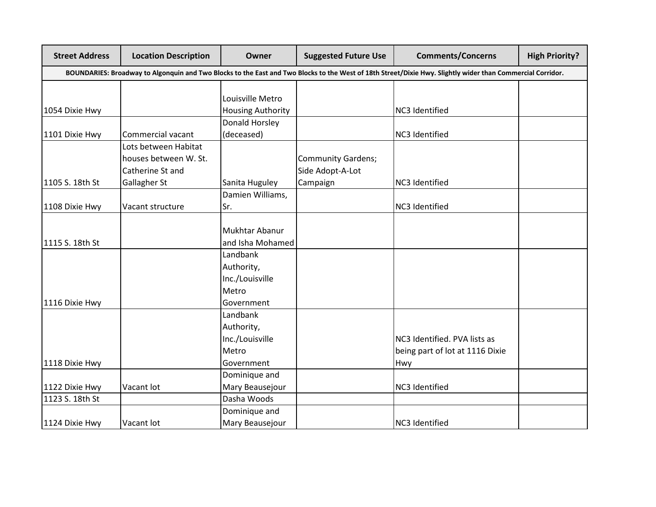| <b>Street Address</b> | <b>Location Description</b> | <b>Owner</b>             | <b>Suggested Future Use</b> | <b>Comments/Concerns</b>                                                                                                                                   | <b>High Priority?</b> |
|-----------------------|-----------------------------|--------------------------|-----------------------------|------------------------------------------------------------------------------------------------------------------------------------------------------------|-----------------------|
|                       |                             |                          |                             | BOUNDARIES: Broadway to Algonquin and Two Blocks to the East and Two Blocks to the West of 18th Street/Dixie Hwy. Slightly wider than Commercial Corridor. |                       |
|                       |                             |                          |                             |                                                                                                                                                            |                       |
|                       |                             | Louisville Metro         |                             |                                                                                                                                                            |                       |
| 1054 Dixie Hwy        |                             | <b>Housing Authority</b> |                             | NC3 Identified                                                                                                                                             |                       |
|                       |                             | Donald Horsley           |                             |                                                                                                                                                            |                       |
| 1101 Dixie Hwy        | Commercial vacant           | (deceased)               |                             | NC3 Identified                                                                                                                                             |                       |
|                       | Lots between Habitat        |                          |                             |                                                                                                                                                            |                       |
|                       | houses between W. St.       |                          | <b>Community Gardens;</b>   |                                                                                                                                                            |                       |
|                       | Catherine St and            |                          | Side Adopt-A-Lot            |                                                                                                                                                            |                       |
| 1105 S. 18th St       | Gallagher St                | Sanita Huguley           | Campaign                    | NC3 Identified                                                                                                                                             |                       |
|                       |                             | Damien Williams,         |                             |                                                                                                                                                            |                       |
| 1108 Dixie Hwy        | Vacant structure            | Sr.                      |                             | NC3 Identified                                                                                                                                             |                       |
|                       |                             |                          |                             |                                                                                                                                                            |                       |
|                       |                             | Mukhtar Abanur           |                             |                                                                                                                                                            |                       |
| 1115 S. 18th St       |                             | and Isha Mohamed         |                             |                                                                                                                                                            |                       |
|                       |                             | Landbank                 |                             |                                                                                                                                                            |                       |
|                       |                             | Authority,               |                             |                                                                                                                                                            |                       |
|                       |                             | Inc./Louisville          |                             |                                                                                                                                                            |                       |
|                       |                             | Metro                    |                             |                                                                                                                                                            |                       |
| 1116 Dixie Hwy        |                             | Government               |                             |                                                                                                                                                            |                       |
|                       |                             | Landbank                 |                             |                                                                                                                                                            |                       |
|                       |                             | Authority,               |                             |                                                                                                                                                            |                       |
|                       |                             | Inc./Louisville          |                             | NC3 Identified. PVA lists as                                                                                                                               |                       |
|                       |                             | Metro                    |                             | being part of lot at 1116 Dixie                                                                                                                            |                       |
| 1118 Dixie Hwy        |                             | Government               |                             | Hwy                                                                                                                                                        |                       |
|                       |                             | Dominique and            |                             |                                                                                                                                                            |                       |
| 1122 Dixie Hwy        | Vacant lot                  | Mary Beausejour          |                             | NC3 Identified                                                                                                                                             |                       |
| 1123 S. 18th St       |                             | Dasha Woods              |                             |                                                                                                                                                            |                       |
|                       |                             | Dominique and            |                             |                                                                                                                                                            |                       |
| 1124 Dixie Hwy        | Vacant lot                  | Mary Beausejour          |                             | NC3 Identified                                                                                                                                             |                       |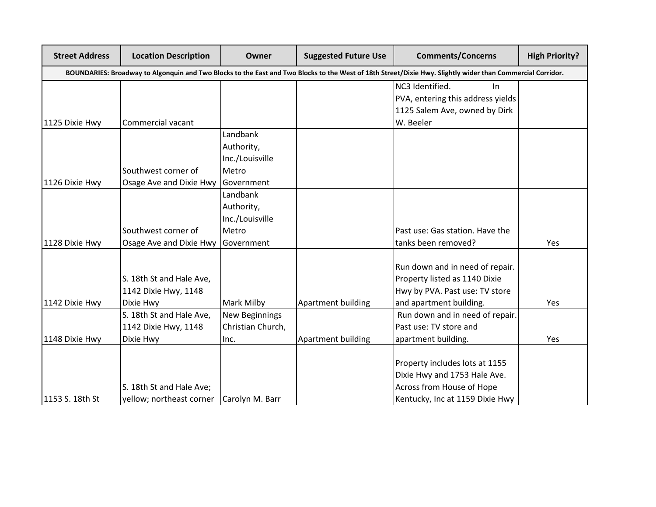| <b>Street Address</b> | <b>Location Description</b>                                                                                                                                | Owner             | <b>Suggested Future Use</b> | <b>Comments/Concerns</b>                                         | <b>High Priority?</b> |  |  |  |
|-----------------------|------------------------------------------------------------------------------------------------------------------------------------------------------------|-------------------|-----------------------------|------------------------------------------------------------------|-----------------------|--|--|--|
|                       | BOUNDARIES: Broadway to Algonquin and Two Blocks to the East and Two Blocks to the West of 18th Street/Dixie Hwy. Slightly wider than Commercial Corridor. |                   |                             |                                                                  |                       |  |  |  |
|                       |                                                                                                                                                            |                   |                             | NC3 Identified.<br>In                                            |                       |  |  |  |
|                       |                                                                                                                                                            |                   |                             | PVA, entering this address yields                                |                       |  |  |  |
|                       |                                                                                                                                                            |                   |                             | 1125 Salem Ave, owned by Dirk                                    |                       |  |  |  |
| 1125 Dixie Hwy        | Commercial vacant                                                                                                                                          |                   |                             | W. Beeler                                                        |                       |  |  |  |
|                       |                                                                                                                                                            | Landbank          |                             |                                                                  |                       |  |  |  |
|                       |                                                                                                                                                            | Authority,        |                             |                                                                  |                       |  |  |  |
|                       |                                                                                                                                                            | Inc./Louisville   |                             |                                                                  |                       |  |  |  |
|                       | Southwest corner of                                                                                                                                        | Metro             |                             |                                                                  |                       |  |  |  |
| 1126 Dixie Hwy        | Osage Ave and Dixie Hwy                                                                                                                                    | Government        |                             |                                                                  |                       |  |  |  |
|                       |                                                                                                                                                            | Landbank          |                             |                                                                  |                       |  |  |  |
|                       |                                                                                                                                                            | Authority,        |                             |                                                                  |                       |  |  |  |
|                       |                                                                                                                                                            | Inc./Louisville   |                             |                                                                  |                       |  |  |  |
|                       | Southwest corner of                                                                                                                                        | Metro             |                             | Past use: Gas station. Have the                                  |                       |  |  |  |
| 1128 Dixie Hwy        | Osage Ave and Dixie Hwy                                                                                                                                    | Government        |                             | tanks been removed?                                              | Yes                   |  |  |  |
|                       |                                                                                                                                                            |                   |                             |                                                                  |                       |  |  |  |
|                       |                                                                                                                                                            |                   |                             | Run down and in need of repair.<br>Property listed as 1140 Dixie |                       |  |  |  |
|                       | S. 18th St and Hale Ave,                                                                                                                                   |                   |                             |                                                                  |                       |  |  |  |
|                       | 1142 Dixie Hwy, 1148                                                                                                                                       |                   |                             | Hwy by PVA. Past use: TV store                                   |                       |  |  |  |
| 1142 Dixie Hwy        | Dixie Hwy                                                                                                                                                  | Mark Milby        | Apartment building          | and apartment building.                                          | Yes                   |  |  |  |
|                       | S. 18th St and Hale Ave,                                                                                                                                   | New Beginnings    |                             | Run down and in need of repair.                                  |                       |  |  |  |
|                       | 1142 Dixie Hwy, 1148                                                                                                                                       | Christian Church, |                             | Past use: TV store and                                           |                       |  |  |  |
| 1148 Dixie Hwy        | Dixie Hwy                                                                                                                                                  | Inc.              | Apartment building          | apartment building.                                              | Yes                   |  |  |  |
|                       |                                                                                                                                                            |                   |                             | Property includes lots at 1155                                   |                       |  |  |  |
|                       |                                                                                                                                                            |                   |                             | Dixie Hwy and 1753 Hale Ave.                                     |                       |  |  |  |
|                       | S. 18th St and Hale Ave;                                                                                                                                   |                   |                             | Across from House of Hope                                        |                       |  |  |  |
| 1153 S. 18th St       | yellow; northeast corner                                                                                                                                   | Carolyn M. Barr   |                             | Kentucky, Inc at 1159 Dixie Hwy                                  |                       |  |  |  |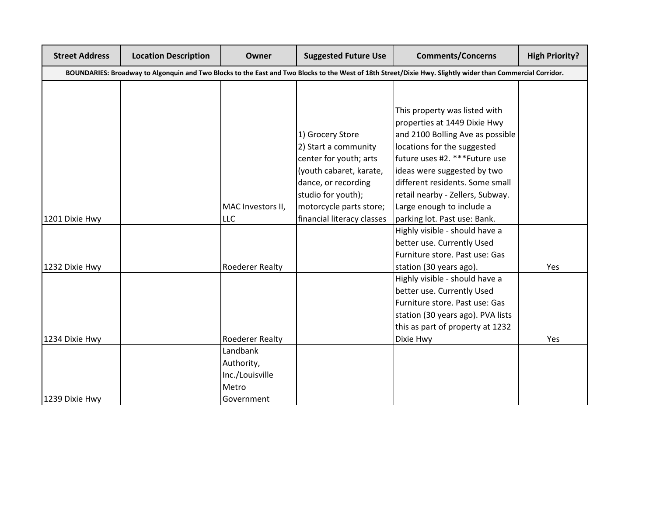| <b>Street Address</b> | <b>Location Description</b> | Owner                  | <b>Suggested Future Use</b> | <b>Comments/Concerns</b>                                                                                                                                   | <b>High Priority?</b> |
|-----------------------|-----------------------------|------------------------|-----------------------------|------------------------------------------------------------------------------------------------------------------------------------------------------------|-----------------------|
|                       |                             |                        |                             | BOUNDARIES: Broadway to Algonquin and Two Blocks to the East and Two Blocks to the West of 18th Street/Dixie Hwy. Slightly wider than Commercial Corridor. |                       |
|                       |                             |                        |                             |                                                                                                                                                            |                       |
|                       |                             |                        |                             |                                                                                                                                                            |                       |
|                       |                             |                        |                             | This property was listed with                                                                                                                              |                       |
|                       |                             |                        |                             | properties at 1449 Dixie Hwy                                                                                                                               |                       |
|                       |                             |                        | 1) Grocery Store            | and 2100 Bolling Ave as possible                                                                                                                           |                       |
|                       |                             |                        | 2) Start a community        | locations for the suggested                                                                                                                                |                       |
|                       |                             |                        | center for youth; arts      | future uses #2. *** Future use                                                                                                                             |                       |
|                       |                             |                        | (youth cabaret, karate,     | ideas were suggested by two                                                                                                                                |                       |
|                       |                             |                        | dance, or recording         | different residents. Some small                                                                                                                            |                       |
|                       |                             |                        | studio for youth);          | retail nearby - Zellers, Subway.                                                                                                                           |                       |
|                       |                             | MAC Investors II,      | motorcycle parts store;     | Large enough to include a                                                                                                                                  |                       |
| 1201 Dixie Hwy        |                             | <b>LLC</b>             | financial literacy classes  | parking lot. Past use: Bank.                                                                                                                               |                       |
|                       |                             |                        |                             | Highly visible - should have a                                                                                                                             |                       |
|                       |                             |                        |                             | better use. Currently Used                                                                                                                                 |                       |
|                       |                             |                        |                             | Furniture store. Past use: Gas                                                                                                                             |                       |
| 1232 Dixie Hwy        |                             | <b>Roederer Realty</b> |                             | station (30 years ago).                                                                                                                                    | Yes                   |
|                       |                             |                        |                             | Highly visible - should have a                                                                                                                             |                       |
|                       |                             |                        |                             | better use. Currently Used                                                                                                                                 |                       |
|                       |                             |                        |                             | Furniture store. Past use: Gas                                                                                                                             |                       |
|                       |                             |                        |                             | station (30 years ago). PVA lists                                                                                                                          |                       |
|                       |                             |                        |                             | this as part of property at 1232                                                                                                                           |                       |
| 1234 Dixie Hwy        |                             | <b>Roederer Realty</b> |                             | Dixie Hwy                                                                                                                                                  | Yes                   |
|                       |                             | Landbank               |                             |                                                                                                                                                            |                       |
|                       |                             | Authority,             |                             |                                                                                                                                                            |                       |
|                       |                             | Inc./Louisville        |                             |                                                                                                                                                            |                       |
|                       |                             | Metro                  |                             |                                                                                                                                                            |                       |
| 1239 Dixie Hwy        |                             | Government             |                             |                                                                                                                                                            |                       |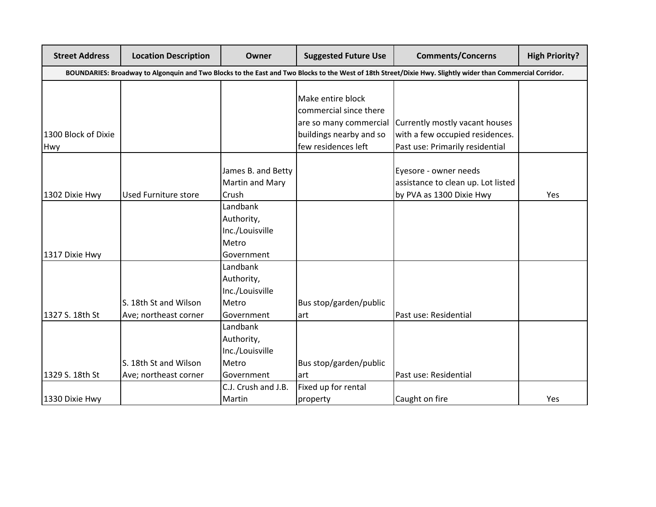| <b>Street Address</b> | <b>Location Description</b>                                                                                                                                | Owner               | <b>Suggested Future Use</b> | <b>Comments/Concerns</b>           | <b>High Priority?</b> |  |  |
|-----------------------|------------------------------------------------------------------------------------------------------------------------------------------------------------|---------------------|-----------------------------|------------------------------------|-----------------------|--|--|
|                       | BOUNDARIES: Broadway to Algonquin and Two Blocks to the East and Two Blocks to the West of 18th Street/Dixie Hwy. Slightly wider than Commercial Corridor. |                     |                             |                                    |                       |  |  |
|                       |                                                                                                                                                            |                     | Make entire block           |                                    |                       |  |  |
|                       |                                                                                                                                                            |                     | commercial since there      |                                    |                       |  |  |
|                       |                                                                                                                                                            |                     | are so many commercial      | Currently mostly vacant houses     |                       |  |  |
| 1300 Block of Dixie   |                                                                                                                                                            |                     | buildings nearby and so     | with a few occupied residences.    |                       |  |  |
| Hwy                   |                                                                                                                                                            |                     | few residences left         | Past use: Primarily residential    |                       |  |  |
|                       |                                                                                                                                                            | James B. and Betty  |                             | Eyesore - owner needs              |                       |  |  |
|                       |                                                                                                                                                            | Martin and Mary     |                             | assistance to clean up. Lot listed |                       |  |  |
| 1302 Dixie Hwy        | <b>Used Furniture store</b>                                                                                                                                | Crush               |                             | by PVA as 1300 Dixie Hwy           | Yes                   |  |  |
|                       |                                                                                                                                                            | Landbank            |                             |                                    |                       |  |  |
|                       |                                                                                                                                                            | Authority,          |                             |                                    |                       |  |  |
|                       |                                                                                                                                                            | Inc./Louisville     |                             |                                    |                       |  |  |
|                       |                                                                                                                                                            | Metro               |                             |                                    |                       |  |  |
| 1317 Dixie Hwy        |                                                                                                                                                            | Government          |                             |                                    |                       |  |  |
|                       |                                                                                                                                                            | Landbank            |                             |                                    |                       |  |  |
|                       |                                                                                                                                                            | Authority,          |                             |                                    |                       |  |  |
|                       |                                                                                                                                                            | Inc./Louisville     |                             |                                    |                       |  |  |
|                       | S. 18th St and Wilson                                                                                                                                      | Metro               | Bus stop/garden/public      |                                    |                       |  |  |
| 1327 S. 18th St       | Ave; northeast corner                                                                                                                                      | Government          | lart                        | Past use: Residential              |                       |  |  |
|                       |                                                                                                                                                            | Landbank            |                             |                                    |                       |  |  |
|                       |                                                                                                                                                            | Authority,          |                             |                                    |                       |  |  |
|                       |                                                                                                                                                            | Inc./Louisville     |                             |                                    |                       |  |  |
|                       | S. 18th St and Wilson                                                                                                                                      | Metro               | Bus stop/garden/public      |                                    |                       |  |  |
| 1329 S. 18th St       | Ave; northeast corner                                                                                                                                      | Government          | art                         | Past use: Residential              |                       |  |  |
|                       |                                                                                                                                                            | C.J. Crush and J.B. | Fixed up for rental         |                                    |                       |  |  |
| 1330 Dixie Hwy        |                                                                                                                                                            | Martin              | property                    | Caught on fire                     | Yes                   |  |  |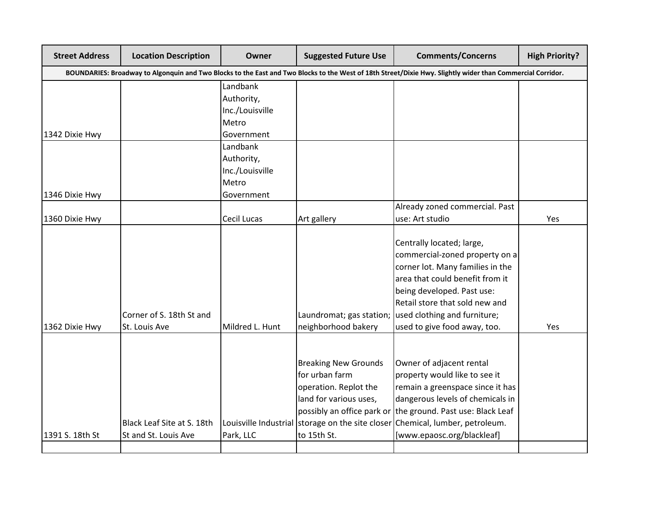| <b>Street Address</b> | <b>Location Description</b> | Owner           | <b>Suggested Future Use</b> | <b>Comments/Concerns</b>                                                                                                                                   | <b>High Priority?</b> |
|-----------------------|-----------------------------|-----------------|-----------------------------|------------------------------------------------------------------------------------------------------------------------------------------------------------|-----------------------|
|                       |                             |                 |                             | BOUNDARIES: Broadway to Algonquin and Two Blocks to the East and Two Blocks to the West of 18th Street/Dixie Hwy. Slightly wider than Commercial Corridor. |                       |
|                       |                             | Landbank        |                             |                                                                                                                                                            |                       |
|                       |                             | Authority,      |                             |                                                                                                                                                            |                       |
|                       |                             | Inc./Louisville |                             |                                                                                                                                                            |                       |
|                       |                             | Metro           |                             |                                                                                                                                                            |                       |
| 1342 Dixie Hwy        |                             | Government      |                             |                                                                                                                                                            |                       |
|                       |                             | Landbank        |                             |                                                                                                                                                            |                       |
|                       |                             | Authority,      |                             |                                                                                                                                                            |                       |
|                       |                             | Inc./Louisville |                             |                                                                                                                                                            |                       |
|                       |                             | Metro           |                             |                                                                                                                                                            |                       |
| 1346 Dixie Hwy        |                             | Government      |                             |                                                                                                                                                            |                       |
|                       |                             |                 |                             | Already zoned commercial. Past                                                                                                                             |                       |
| 1360 Dixie Hwy        |                             | Cecil Lucas     | Art gallery                 | use: Art studio                                                                                                                                            | Yes                   |
|                       |                             |                 |                             |                                                                                                                                                            |                       |
|                       |                             |                 |                             | Centrally located; large,                                                                                                                                  |                       |
|                       |                             |                 |                             | commercial-zoned property on a                                                                                                                             |                       |
|                       |                             |                 |                             | corner lot. Many families in the                                                                                                                           |                       |
|                       |                             |                 |                             | area that could benefit from it                                                                                                                            |                       |
|                       |                             |                 |                             | being developed. Past use:                                                                                                                                 |                       |
|                       |                             |                 |                             | Retail store that sold new and                                                                                                                             |                       |
|                       | Corner of S. 18th St and    |                 |                             | Laundromat; gas station; used clothing and furniture;                                                                                                      |                       |
| 1362 Dixie Hwy        | St. Louis Ave               | Mildred L. Hunt | neighborhood bakery         | used to give food away, too.                                                                                                                               | Yes                   |
|                       |                             |                 |                             |                                                                                                                                                            |                       |
|                       |                             |                 |                             |                                                                                                                                                            |                       |
|                       |                             |                 | <b>Breaking New Grounds</b> | Owner of adjacent rental                                                                                                                                   |                       |
|                       |                             |                 | for urban farm              | property would like to see it                                                                                                                              |                       |
|                       |                             |                 | operation. Replot the       | remain a greenspace since it has                                                                                                                           |                       |
|                       |                             |                 | land for various uses,      | dangerous levels of chemicals in                                                                                                                           |                       |
|                       |                             |                 |                             | possibly an office park or the ground. Past use: Black Leaf                                                                                                |                       |
|                       | Black Leaf Site at S. 18th  |                 |                             | Louisville Industrial storage on the site closer Chemical, lumber, petroleum.                                                                              |                       |
| 1391 S. 18th St       | St and St. Louis Ave        | Park, LLC       | to 15th St.                 | [www.epaosc.org/blackleaf]                                                                                                                                 |                       |
|                       |                             |                 |                             |                                                                                                                                                            |                       |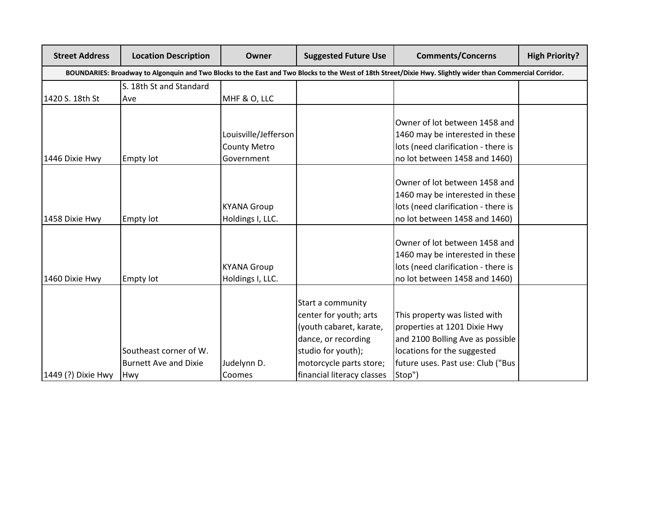| <b>Street Address</b> | <b>Location Description</b>                                                                                                                                | Owner                                                     | <b>Suggested Future Use</b>                                                                                                                                                  | <b>Comments/Concerns</b>                                                                                                                                                        | <b>High Priority?</b> |  |
|-----------------------|------------------------------------------------------------------------------------------------------------------------------------------------------------|-----------------------------------------------------------|------------------------------------------------------------------------------------------------------------------------------------------------------------------------------|---------------------------------------------------------------------------------------------------------------------------------------------------------------------------------|-----------------------|--|
|                       | BOUNDARIES: Broadway to Algonquin and Two Blocks to the East and Two Blocks to the West of 18th Street/Dixie Hwy. Slightly wider than Commercial Corridor. |                                                           |                                                                                                                                                                              |                                                                                                                                                                                 |                       |  |
|                       | S. 18th St and Standard                                                                                                                                    |                                                           |                                                                                                                                                                              |                                                                                                                                                                                 |                       |  |
| 1420 S. 18th St       | Ave                                                                                                                                                        | MHF & O, LLC                                              |                                                                                                                                                                              |                                                                                                                                                                                 |                       |  |
| 1446 Dixie Hwy        | <b>Empty lot</b>                                                                                                                                           | Louisville/Jefferson<br><b>County Metro</b><br>Government |                                                                                                                                                                              | Owner of lot between 1458 and<br>1460 may be interested in these<br>lots (need clarification - there is<br>no lot between 1458 and 1460)                                        |                       |  |
| 1458 Dixie Hwy        | <b>Empty lot</b>                                                                                                                                           | <b>KYANA Group</b><br>Holdings I, LLC.                    |                                                                                                                                                                              | Owner of lot between 1458 and<br>1460 may be interested in these<br>lots (need clarification - there is<br>no lot between 1458 and 1460)                                        |                       |  |
| 1460 Dixie Hwy        | <b>Empty lot</b>                                                                                                                                           | <b>KYANA Group</b><br>Holdings I, LLC.                    |                                                                                                                                                                              | Owner of lot between 1458 and<br>1460 may be interested in these<br>lots (need clarification - there is<br>no lot between 1458 and 1460)                                        |                       |  |
| 1449 (?) Dixie Hwy    | Southeast corner of W.<br><b>Burnett Ave and Dixie</b><br>Hwy                                                                                              | Judelynn D.<br>Coomes                                     | Start a community<br>center for youth; arts<br>(youth cabaret, karate,<br>dance, or recording<br>studio for youth);<br>motorcycle parts store;<br>financial literacy classes | This property was listed with<br>properties at 1201 Dixie Hwy<br>and 2100 Bolling Ave as possible<br>locations for the suggested<br>future uses. Past use: Club ("Bus<br>Stop") |                       |  |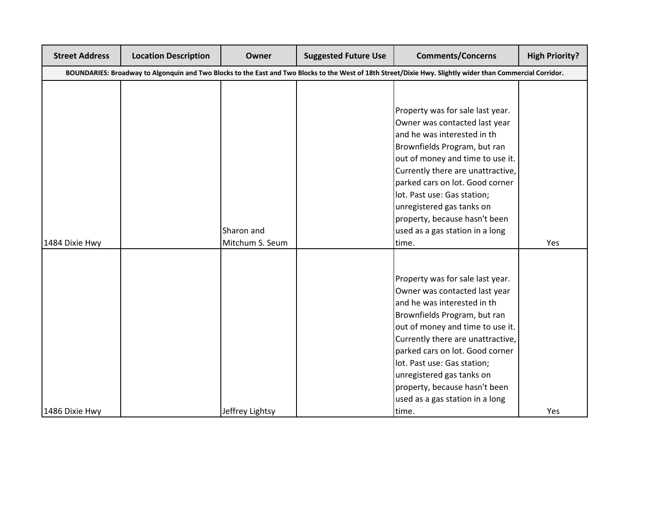| <b>Street Address</b> | <b>Location Description</b> | Owner           | <b>Suggested Future Use</b> | <b>Comments/Concerns</b>                                                                                                                                   | <b>High Priority?</b> |
|-----------------------|-----------------------------|-----------------|-----------------------------|------------------------------------------------------------------------------------------------------------------------------------------------------------|-----------------------|
|                       |                             |                 |                             | BOUNDARIES: Broadway to Algonquin and Two Blocks to the East and Two Blocks to the West of 18th Street/Dixie Hwy. Slightly wider than Commercial Corridor. |                       |
|                       |                             |                 |                             |                                                                                                                                                            |                       |
|                       |                             |                 |                             |                                                                                                                                                            |                       |
|                       |                             |                 |                             | Property was for sale last year.                                                                                                                           |                       |
|                       |                             |                 |                             | Owner was contacted last year                                                                                                                              |                       |
|                       |                             |                 |                             | and he was interested in th                                                                                                                                |                       |
|                       |                             |                 |                             | Brownfields Program, but ran                                                                                                                               |                       |
|                       |                             |                 |                             | out of money and time to use it.                                                                                                                           |                       |
|                       |                             |                 |                             | Currently there are unattractive,                                                                                                                          |                       |
|                       |                             |                 |                             | parked cars on lot. Good corner                                                                                                                            |                       |
|                       |                             |                 |                             | lot. Past use: Gas station;                                                                                                                                |                       |
|                       |                             |                 |                             | unregistered gas tanks on                                                                                                                                  |                       |
|                       |                             |                 |                             | property, because hasn't been                                                                                                                              |                       |
|                       |                             | Sharon and      |                             | used as a gas station in a long                                                                                                                            |                       |
| 1484 Dixie Hwy        |                             | Mitchum S. Seum |                             | time.                                                                                                                                                      | Yes                   |
|                       |                             |                 |                             |                                                                                                                                                            |                       |
|                       |                             |                 |                             |                                                                                                                                                            |                       |
|                       |                             |                 |                             | Property was for sale last year.                                                                                                                           |                       |
|                       |                             |                 |                             | Owner was contacted last year                                                                                                                              |                       |
|                       |                             |                 |                             | and he was interested in th                                                                                                                                |                       |
|                       |                             |                 |                             | Brownfields Program, but ran                                                                                                                               |                       |
|                       |                             |                 |                             | out of money and time to use it.                                                                                                                           |                       |
|                       |                             |                 |                             | Currently there are unattractive,                                                                                                                          |                       |
|                       |                             |                 |                             | parked cars on lot. Good corner                                                                                                                            |                       |
|                       |                             |                 |                             | lot. Past use: Gas station;                                                                                                                                |                       |
|                       |                             |                 |                             | unregistered gas tanks on                                                                                                                                  |                       |
|                       |                             |                 |                             | property, because hasn't been<br>used as a gas station in a long                                                                                           |                       |
|                       |                             |                 |                             |                                                                                                                                                            |                       |
| 1486 Dixie Hwy        |                             | Jeffrey Lightsy |                             | time.                                                                                                                                                      | Yes                   |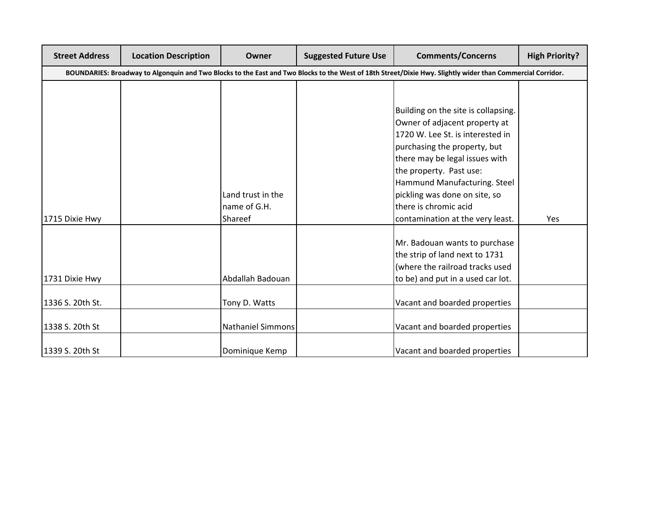| <b>Street Address</b> | <b>Location Description</b> | <b>Owner</b>             | <b>Suggested Future Use</b> | <b>Comments/Concerns</b>                                                                                                                                   | <b>High Priority?</b> |
|-----------------------|-----------------------------|--------------------------|-----------------------------|------------------------------------------------------------------------------------------------------------------------------------------------------------|-----------------------|
|                       |                             |                          |                             | BOUNDARIES: Broadway to Algonquin and Two Blocks to the East and Two Blocks to the West of 18th Street/Dixie Hwy. Slightly wider than Commercial Corridor. |                       |
|                       |                             |                          |                             |                                                                                                                                                            |                       |
|                       |                             |                          |                             |                                                                                                                                                            |                       |
|                       |                             |                          |                             | Building on the site is collapsing.                                                                                                                        |                       |
|                       |                             |                          |                             | Owner of adjacent property at                                                                                                                              |                       |
|                       |                             |                          |                             | 1720 W. Lee St. is interested in                                                                                                                           |                       |
|                       |                             |                          |                             | purchasing the property, but                                                                                                                               |                       |
|                       |                             |                          |                             | there may be legal issues with                                                                                                                             |                       |
|                       |                             |                          |                             | the property. Past use:                                                                                                                                    |                       |
|                       |                             |                          |                             | Hammund Manufacturing. Steel                                                                                                                               |                       |
|                       |                             | Land trust in the        |                             | pickling was done on site, so                                                                                                                              |                       |
|                       |                             | name of G.H.             |                             | there is chromic acid                                                                                                                                      |                       |
| 1715 Dixie Hwy        |                             | Shareef                  |                             | contamination at the very least.                                                                                                                           | Yes                   |
|                       |                             |                          |                             |                                                                                                                                                            |                       |
|                       |                             |                          |                             | Mr. Badouan wants to purchase                                                                                                                              |                       |
|                       |                             |                          |                             | the strip of land next to 1731                                                                                                                             |                       |
|                       |                             |                          |                             | (where the railroad tracks used                                                                                                                            |                       |
| 1731 Dixie Hwy        |                             | Abdallah Badouan         |                             | to be) and put in a used car lot.                                                                                                                          |                       |
|                       |                             |                          |                             |                                                                                                                                                            |                       |
| 1336 S. 20th St.      |                             | Tony D. Watts            |                             | Vacant and boarded properties                                                                                                                              |                       |
|                       |                             |                          |                             |                                                                                                                                                            |                       |
| 1338 S. 20th St       |                             | <b>Nathaniel Simmons</b> |                             | Vacant and boarded properties                                                                                                                              |                       |
|                       |                             |                          |                             |                                                                                                                                                            |                       |
| 1339 S. 20th St       |                             | Dominique Kemp           |                             | Vacant and boarded properties                                                                                                                              |                       |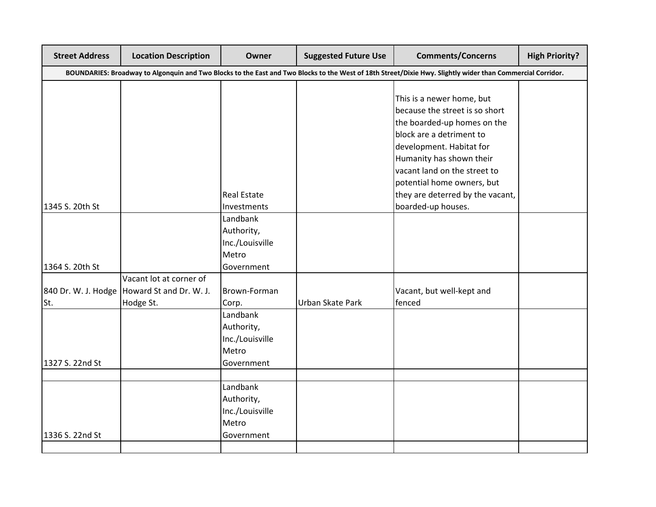| <b>Street Address</b> | <b>Location Description</b>                                                           | Owner                                                             | <b>Suggested Future Use</b> | <b>Comments/Concerns</b>                                                                                                                                                                                       | <b>High Priority?</b> |
|-----------------------|---------------------------------------------------------------------------------------|-------------------------------------------------------------------|-----------------------------|----------------------------------------------------------------------------------------------------------------------------------------------------------------------------------------------------------------|-----------------------|
|                       |                                                                                       |                                                                   |                             | BOUNDARIES: Broadway to Algonquin and Two Blocks to the East and Two Blocks to the West of 18th Street/Dixie Hwy. Slightly wider than Commercial Corridor.                                                     |                       |
|                       |                                                                                       |                                                                   |                             | This is a newer home, but<br>because the street is so short<br>the boarded-up homes on the<br>block are a detriment to<br>development. Habitat for<br>Humanity has shown their<br>vacant land on the street to |                       |
|                       |                                                                                       | <b>Real Estate</b>                                                |                             | potential home owners, but<br>they are deterred by the vacant,                                                                                                                                                 |                       |
| 1345 S. 20th St       |                                                                                       | Investments<br>Landbank<br>Authority,<br>Inc./Louisville<br>Metro |                             | boarded-up houses.                                                                                                                                                                                             |                       |
| 1364 S. 20th St       |                                                                                       | Government                                                        |                             |                                                                                                                                                                                                                |                       |
| St.                   | Vacant lot at corner of<br>840 Dr. W. J. Hodge   Howard St and Dr. W. J.<br>Hodge St. | Brown-Forman<br>Corp.                                             | Urban Skate Park            | Vacant, but well-kept and<br>fenced                                                                                                                                                                            |                       |
| 1327 S. 22nd St       |                                                                                       | Landbank<br>Authority,<br>Inc./Louisville<br>Metro<br>Government  |                             |                                                                                                                                                                                                                |                       |
|                       |                                                                                       |                                                                   |                             |                                                                                                                                                                                                                |                       |
| 1336 S. 22nd St       |                                                                                       | Landbank<br>Authority,<br>Inc./Louisville<br>Metro<br>Government  |                             |                                                                                                                                                                                                                |                       |
|                       |                                                                                       |                                                                   |                             |                                                                                                                                                                                                                |                       |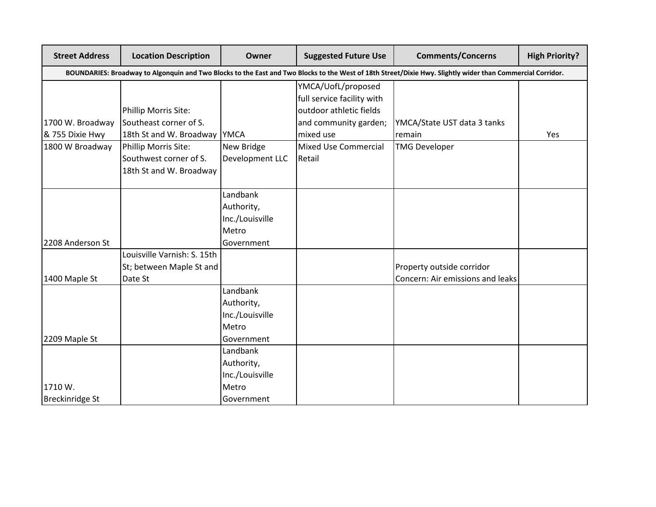| <b>Street Address</b> | <b>Location Description</b>                                                                                                                                | Owner           | <b>Suggested Future Use</b> | <b>Comments/Concerns</b>         | <b>High Priority?</b> |  |  |  |
|-----------------------|------------------------------------------------------------------------------------------------------------------------------------------------------------|-----------------|-----------------------------|----------------------------------|-----------------------|--|--|--|
|                       | BOUNDARIES: Broadway to Algonquin and Two Blocks to the East and Two Blocks to the West of 18th Street/Dixie Hwy. Slightly wider than Commercial Corridor. |                 |                             |                                  |                       |  |  |  |
|                       |                                                                                                                                                            |                 | YMCA/UofL/proposed          |                                  |                       |  |  |  |
|                       |                                                                                                                                                            |                 | full service facility with  |                                  |                       |  |  |  |
|                       | Phillip Morris Site:                                                                                                                                       |                 | outdoor athletic fields     |                                  |                       |  |  |  |
| 1700 W. Broadway      | Southeast corner of S.                                                                                                                                     |                 | and community garden;       | YMCA/State UST data 3 tanks      |                       |  |  |  |
| & 755 Dixie Hwy       | 18th St and W. Broadway   YMCA                                                                                                                             |                 | mixed use                   | remain                           | Yes                   |  |  |  |
| 1800 W Broadway       | Phillip Morris Site:                                                                                                                                       | New Bridge      | <b>Mixed Use Commercial</b> | <b>TMG Developer</b>             |                       |  |  |  |
|                       | Southwest corner of S.                                                                                                                                     | Development LLC | Retail                      |                                  |                       |  |  |  |
|                       | 18th St and W. Broadway                                                                                                                                    |                 |                             |                                  |                       |  |  |  |
|                       |                                                                                                                                                            | Landbank        |                             |                                  |                       |  |  |  |
|                       |                                                                                                                                                            | Authority,      |                             |                                  |                       |  |  |  |
|                       |                                                                                                                                                            | Inc./Louisville |                             |                                  |                       |  |  |  |
|                       |                                                                                                                                                            | Metro           |                             |                                  |                       |  |  |  |
| 2208 Anderson St      |                                                                                                                                                            | Government      |                             |                                  |                       |  |  |  |
|                       | Louisville Varnish: S. 15th                                                                                                                                |                 |                             |                                  |                       |  |  |  |
|                       | St; between Maple St and                                                                                                                                   |                 |                             | Property outside corridor        |                       |  |  |  |
| 1400 Maple St         | Date St                                                                                                                                                    |                 |                             | Concern: Air emissions and leaks |                       |  |  |  |
|                       |                                                                                                                                                            | Landbank        |                             |                                  |                       |  |  |  |
|                       |                                                                                                                                                            | Authority,      |                             |                                  |                       |  |  |  |
|                       |                                                                                                                                                            | Inc./Louisville |                             |                                  |                       |  |  |  |
|                       |                                                                                                                                                            | Metro           |                             |                                  |                       |  |  |  |
| 2209 Maple St         |                                                                                                                                                            | Government      |                             |                                  |                       |  |  |  |
|                       |                                                                                                                                                            | Landbank        |                             |                                  |                       |  |  |  |
|                       |                                                                                                                                                            | Authority,      |                             |                                  |                       |  |  |  |
|                       |                                                                                                                                                            | Inc./Louisville |                             |                                  |                       |  |  |  |
| 1710 W.               |                                                                                                                                                            | Metro           |                             |                                  |                       |  |  |  |
| Breckinridge St       |                                                                                                                                                            | Government      |                             |                                  |                       |  |  |  |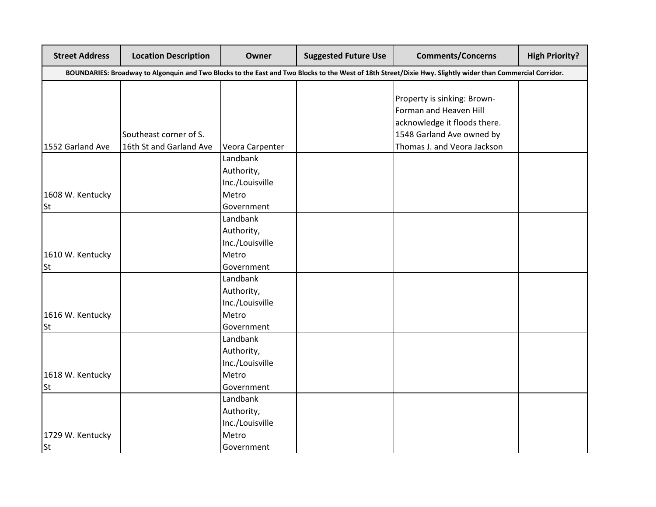| <b>Street Address</b> | <b>Location Description</b> | Owner           | <b>Suggested Future Use</b> | <b>Comments/Concerns</b>                                                                                                                                   | <b>High Priority?</b> |
|-----------------------|-----------------------------|-----------------|-----------------------------|------------------------------------------------------------------------------------------------------------------------------------------------------------|-----------------------|
|                       |                             |                 |                             | BOUNDARIES: Broadway to Algonquin and Two Blocks to the East and Two Blocks to the West of 18th Street/Dixie Hwy. Slightly wider than Commercial Corridor. |                       |
|                       |                             |                 |                             |                                                                                                                                                            |                       |
|                       |                             |                 |                             | Property is sinking: Brown-                                                                                                                                |                       |
|                       |                             |                 |                             | Forman and Heaven Hill                                                                                                                                     |                       |
|                       |                             |                 |                             | acknowledge it floods there.                                                                                                                               |                       |
|                       | Southeast corner of S.      |                 |                             | 1548 Garland Ave owned by                                                                                                                                  |                       |
| 1552 Garland Ave      | 16th St and Garland Ave     | Veora Carpenter |                             | Thomas J. and Veora Jackson                                                                                                                                |                       |
|                       |                             | Landbank        |                             |                                                                                                                                                            |                       |
|                       |                             | Authority,      |                             |                                                                                                                                                            |                       |
|                       |                             | Inc./Louisville |                             |                                                                                                                                                            |                       |
| 1608 W. Kentucky      |                             | Metro           |                             |                                                                                                                                                            |                       |
| <b>St</b>             |                             | Government      |                             |                                                                                                                                                            |                       |
|                       |                             | Landbank        |                             |                                                                                                                                                            |                       |
|                       |                             | Authority,      |                             |                                                                                                                                                            |                       |
|                       |                             | Inc./Louisville |                             |                                                                                                                                                            |                       |
| 1610 W. Kentucky      |                             | Metro           |                             |                                                                                                                                                            |                       |
| <b>St</b>             |                             | Government      |                             |                                                                                                                                                            |                       |
|                       |                             | Landbank        |                             |                                                                                                                                                            |                       |
|                       |                             | Authority,      |                             |                                                                                                                                                            |                       |
|                       |                             | Inc./Louisville |                             |                                                                                                                                                            |                       |
| 1616 W. Kentucky      |                             | Metro           |                             |                                                                                                                                                            |                       |
| <b>St</b>             |                             | Government      |                             |                                                                                                                                                            |                       |
|                       |                             | Landbank        |                             |                                                                                                                                                            |                       |
|                       |                             | Authority,      |                             |                                                                                                                                                            |                       |
|                       |                             | Inc./Louisville |                             |                                                                                                                                                            |                       |
| 1618 W. Kentucky      |                             | Metro           |                             |                                                                                                                                                            |                       |
| <b>St</b>             |                             | Government      |                             |                                                                                                                                                            |                       |
|                       |                             | Landbank        |                             |                                                                                                                                                            |                       |
|                       |                             | Authority,      |                             |                                                                                                                                                            |                       |
|                       |                             | Inc./Louisville |                             |                                                                                                                                                            |                       |
| 1729 W. Kentucky      |                             | Metro           |                             |                                                                                                                                                            |                       |
| <b>St</b>             |                             | Government      |                             |                                                                                                                                                            |                       |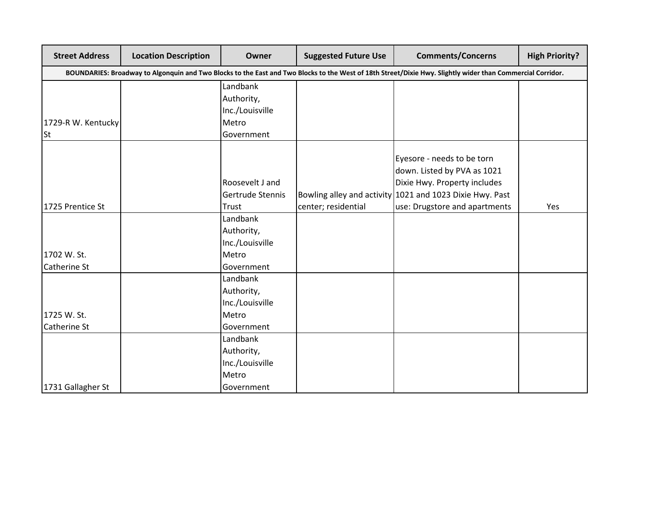| <b>Street Address</b> | <b>Location Description</b>                                                                                                                                | Owner            | <b>Suggested Future Use</b> | <b>Comments/Concerns</b>                                 | <b>High Priority?</b> |  |
|-----------------------|------------------------------------------------------------------------------------------------------------------------------------------------------------|------------------|-----------------------------|----------------------------------------------------------|-----------------------|--|
|                       | BOUNDARIES: Broadway to Algonquin and Two Blocks to the East and Two Blocks to the West of 18th Street/Dixie Hwy. Slightly wider than Commercial Corridor. |                  |                             |                                                          |                       |  |
|                       |                                                                                                                                                            | Landbank         |                             |                                                          |                       |  |
|                       |                                                                                                                                                            | Authority,       |                             |                                                          |                       |  |
|                       |                                                                                                                                                            | Inc./Louisville  |                             |                                                          |                       |  |
| 1729-R W. Kentucky    |                                                                                                                                                            | Metro            |                             |                                                          |                       |  |
| <b>St</b>             |                                                                                                                                                            | Government       |                             |                                                          |                       |  |
|                       |                                                                                                                                                            |                  |                             |                                                          |                       |  |
|                       |                                                                                                                                                            |                  |                             | Eyesore - needs to be torn                               |                       |  |
|                       |                                                                                                                                                            |                  |                             | down. Listed by PVA as 1021                              |                       |  |
|                       |                                                                                                                                                            | Roosevelt J and  |                             | Dixie Hwy. Property includes                             |                       |  |
|                       |                                                                                                                                                            | Gertrude Stennis |                             | Bowling alley and activity 1021 and 1023 Dixie Hwy. Past |                       |  |
| 1725 Prentice St      |                                                                                                                                                            | Trust            | center; residential         | use: Drugstore and apartments                            | Yes                   |  |
|                       |                                                                                                                                                            | Landbank         |                             |                                                          |                       |  |
|                       |                                                                                                                                                            | Authority,       |                             |                                                          |                       |  |
|                       |                                                                                                                                                            | Inc./Louisville  |                             |                                                          |                       |  |
| 1702 W. St.           |                                                                                                                                                            | Metro            |                             |                                                          |                       |  |
| Catherine St          |                                                                                                                                                            | Government       |                             |                                                          |                       |  |
|                       |                                                                                                                                                            | Landbank         |                             |                                                          |                       |  |
|                       |                                                                                                                                                            | Authority,       |                             |                                                          |                       |  |
|                       |                                                                                                                                                            | Inc./Louisville  |                             |                                                          |                       |  |
| 1725 W. St.           |                                                                                                                                                            | Metro            |                             |                                                          |                       |  |
| <b>Catherine St</b>   |                                                                                                                                                            | Government       |                             |                                                          |                       |  |
|                       |                                                                                                                                                            | Landbank         |                             |                                                          |                       |  |
|                       |                                                                                                                                                            | Authority,       |                             |                                                          |                       |  |
|                       |                                                                                                                                                            | Inc./Louisville  |                             |                                                          |                       |  |
|                       |                                                                                                                                                            | Metro            |                             |                                                          |                       |  |
| 1731 Gallagher St     |                                                                                                                                                            | Government       |                             |                                                          |                       |  |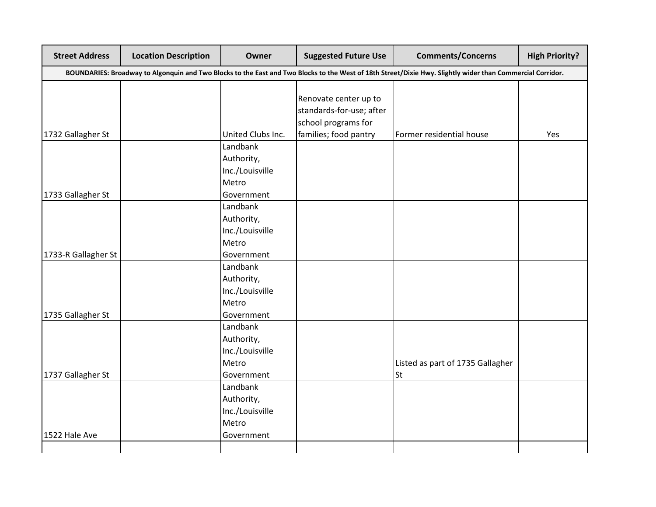| <b>Street Address</b> | <b>Location Description</b> | Owner             | <b>Suggested Future Use</b> | <b>Comments/Concerns</b>                                                                                                                                   | <b>High Priority?</b> |
|-----------------------|-----------------------------|-------------------|-----------------------------|------------------------------------------------------------------------------------------------------------------------------------------------------------|-----------------------|
|                       |                             |                   |                             | BOUNDARIES: Broadway to Algonquin and Two Blocks to the East and Two Blocks to the West of 18th Street/Dixie Hwy. Slightly wider than Commercial Corridor. |                       |
|                       |                             |                   |                             |                                                                                                                                                            |                       |
|                       |                             |                   | Renovate center up to       |                                                                                                                                                            |                       |
|                       |                             |                   | standards-for-use; after    |                                                                                                                                                            |                       |
|                       |                             |                   | school programs for         |                                                                                                                                                            |                       |
| 1732 Gallagher St     |                             | United Clubs Inc. | families; food pantry       | Former residential house                                                                                                                                   | Yes                   |
|                       |                             | Landbank          |                             |                                                                                                                                                            |                       |
|                       |                             | Authority,        |                             |                                                                                                                                                            |                       |
|                       |                             | Inc./Louisville   |                             |                                                                                                                                                            |                       |
|                       |                             | Metro             |                             |                                                                                                                                                            |                       |
| 1733 Gallagher St     |                             | Government        |                             |                                                                                                                                                            |                       |
|                       |                             | Landbank          |                             |                                                                                                                                                            |                       |
|                       |                             | Authority,        |                             |                                                                                                                                                            |                       |
|                       |                             | Inc./Louisville   |                             |                                                                                                                                                            |                       |
|                       |                             | Metro             |                             |                                                                                                                                                            |                       |
| 1733-R Gallagher St   |                             | Government        |                             |                                                                                                                                                            |                       |
|                       |                             | Landbank          |                             |                                                                                                                                                            |                       |
|                       |                             | Authority,        |                             |                                                                                                                                                            |                       |
|                       |                             | Inc./Louisville   |                             |                                                                                                                                                            |                       |
|                       |                             | Metro             |                             |                                                                                                                                                            |                       |
| 1735 Gallagher St     |                             | Government        |                             |                                                                                                                                                            |                       |
|                       |                             | Landbank          |                             |                                                                                                                                                            |                       |
|                       |                             | Authority,        |                             |                                                                                                                                                            |                       |
|                       |                             | Inc./Louisville   |                             |                                                                                                                                                            |                       |
|                       |                             | Metro             |                             | Listed as part of 1735 Gallagher                                                                                                                           |                       |
| 1737 Gallagher St     |                             | Government        |                             | <b>St</b>                                                                                                                                                  |                       |
|                       |                             | Landbank          |                             |                                                                                                                                                            |                       |
|                       |                             | Authority,        |                             |                                                                                                                                                            |                       |
|                       |                             | Inc./Louisville   |                             |                                                                                                                                                            |                       |
|                       |                             | Metro             |                             |                                                                                                                                                            |                       |
| 1522 Hale Ave         |                             | Government        |                             |                                                                                                                                                            |                       |
|                       |                             |                   |                             |                                                                                                                                                            |                       |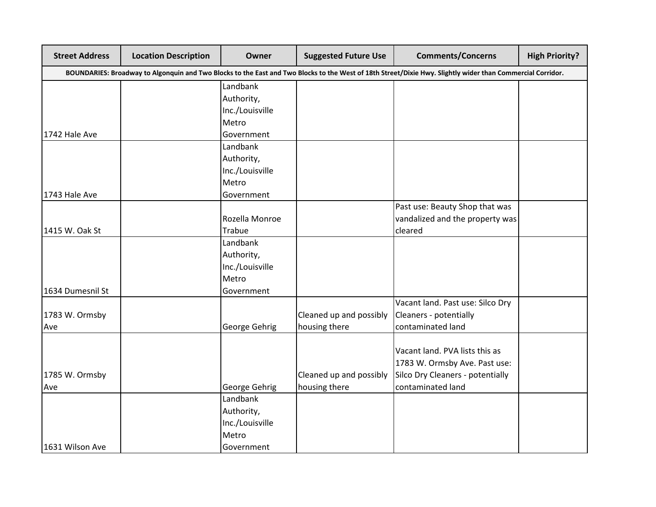| <b>Street Address</b> | <b>Location Description</b>                                                                                                                                | Owner           | <b>Suggested Future Use</b> | <b>Comments/Concerns</b>         | <b>High Priority?</b> |  |  |  |
|-----------------------|------------------------------------------------------------------------------------------------------------------------------------------------------------|-----------------|-----------------------------|----------------------------------|-----------------------|--|--|--|
|                       | BOUNDARIES: Broadway to Algonquin and Two Blocks to the East and Two Blocks to the West of 18th Street/Dixie Hwy. Slightly wider than Commercial Corridor. |                 |                             |                                  |                       |  |  |  |
|                       |                                                                                                                                                            | Landbank        |                             |                                  |                       |  |  |  |
|                       |                                                                                                                                                            | Authority,      |                             |                                  |                       |  |  |  |
|                       |                                                                                                                                                            | Inc./Louisville |                             |                                  |                       |  |  |  |
|                       |                                                                                                                                                            | Metro           |                             |                                  |                       |  |  |  |
| 1742 Hale Ave         |                                                                                                                                                            | Government      |                             |                                  |                       |  |  |  |
|                       |                                                                                                                                                            | Landbank        |                             |                                  |                       |  |  |  |
|                       |                                                                                                                                                            | Authority,      |                             |                                  |                       |  |  |  |
|                       |                                                                                                                                                            | Inc./Louisville |                             |                                  |                       |  |  |  |
|                       |                                                                                                                                                            | Metro           |                             |                                  |                       |  |  |  |
| 1743 Hale Ave         |                                                                                                                                                            | Government      |                             |                                  |                       |  |  |  |
|                       |                                                                                                                                                            |                 |                             | Past use: Beauty Shop that was   |                       |  |  |  |
|                       |                                                                                                                                                            | Rozella Monroe  |                             | vandalized and the property was  |                       |  |  |  |
| 1415 W. Oak St        |                                                                                                                                                            | <b>Trabue</b>   |                             | cleared                          |                       |  |  |  |
|                       |                                                                                                                                                            | Landbank        |                             |                                  |                       |  |  |  |
|                       |                                                                                                                                                            | Authority,      |                             |                                  |                       |  |  |  |
|                       |                                                                                                                                                            | Inc./Louisville |                             |                                  |                       |  |  |  |
|                       |                                                                                                                                                            | Metro           |                             |                                  |                       |  |  |  |
| 1634 Dumesnil St      |                                                                                                                                                            | Government      |                             |                                  |                       |  |  |  |
|                       |                                                                                                                                                            |                 |                             | Vacant land. Past use: Silco Dry |                       |  |  |  |
| 1783 W. Ormsby        |                                                                                                                                                            |                 | Cleaned up and possibly     | Cleaners - potentially           |                       |  |  |  |
| Ave                   |                                                                                                                                                            | George Gehrig   | housing there               | contaminated land                |                       |  |  |  |
|                       |                                                                                                                                                            |                 |                             |                                  |                       |  |  |  |
|                       |                                                                                                                                                            |                 |                             | Vacant land. PVA lists this as   |                       |  |  |  |
|                       |                                                                                                                                                            |                 |                             | 1783 W. Ormsby Ave. Past use:    |                       |  |  |  |
| 1785 W. Ormsby        |                                                                                                                                                            |                 | Cleaned up and possibly     | Silco Dry Cleaners - potentially |                       |  |  |  |
| Ave                   |                                                                                                                                                            | George Gehrig   | housing there               | contaminated land                |                       |  |  |  |
|                       |                                                                                                                                                            | Landbank        |                             |                                  |                       |  |  |  |
|                       |                                                                                                                                                            | Authority,      |                             |                                  |                       |  |  |  |
|                       |                                                                                                                                                            | Inc./Louisville |                             |                                  |                       |  |  |  |
|                       |                                                                                                                                                            | Metro           |                             |                                  |                       |  |  |  |
| 1631 Wilson Ave       |                                                                                                                                                            | Government      |                             |                                  |                       |  |  |  |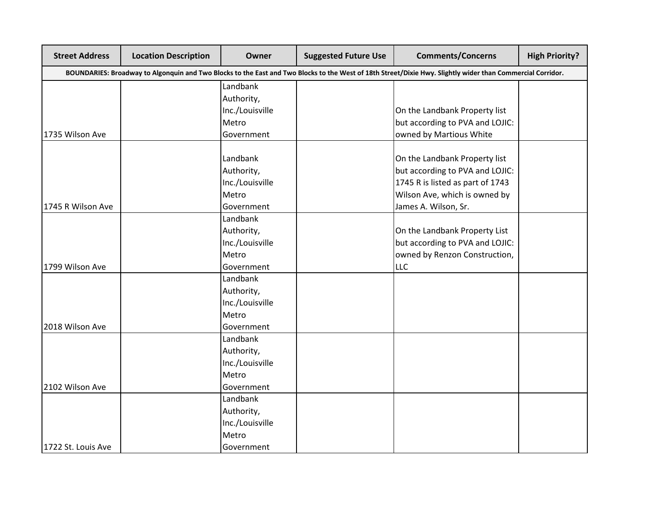| <b>Street Address</b> | <b>Location Description</b>                                                                                                                                | Owner           | <b>Suggested Future Use</b> | <b>Comments/Concerns</b>         | <b>High Priority?</b> |  |  |  |
|-----------------------|------------------------------------------------------------------------------------------------------------------------------------------------------------|-----------------|-----------------------------|----------------------------------|-----------------------|--|--|--|
|                       | BOUNDARIES: Broadway to Algonquin and Two Blocks to the East and Two Blocks to the West of 18th Street/Dixie Hwy. Slightly wider than Commercial Corridor. |                 |                             |                                  |                       |  |  |  |
|                       |                                                                                                                                                            | Landbank        |                             |                                  |                       |  |  |  |
|                       |                                                                                                                                                            | Authority,      |                             |                                  |                       |  |  |  |
|                       |                                                                                                                                                            | Inc./Louisville |                             | On the Landbank Property list    |                       |  |  |  |
|                       |                                                                                                                                                            | Metro           |                             | but according to PVA and LOJIC:  |                       |  |  |  |
| 1735 Wilson Ave       |                                                                                                                                                            | Government      |                             | owned by Martious White          |                       |  |  |  |
|                       |                                                                                                                                                            | Landbank        |                             | On the Landbank Property list    |                       |  |  |  |
|                       |                                                                                                                                                            | Authority,      |                             | but according to PVA and LOJIC:  |                       |  |  |  |
|                       |                                                                                                                                                            | Inc./Louisville |                             | 1745 R is listed as part of 1743 |                       |  |  |  |
|                       |                                                                                                                                                            | Metro           |                             | Wilson Ave, which is owned by    |                       |  |  |  |
| 1745 R Wilson Ave     |                                                                                                                                                            | Government      |                             | James A. Wilson, Sr.             |                       |  |  |  |
|                       |                                                                                                                                                            | Landbank        |                             |                                  |                       |  |  |  |
|                       |                                                                                                                                                            | Authority,      |                             | On the Landbank Property List    |                       |  |  |  |
|                       |                                                                                                                                                            | Inc./Louisville |                             | but according to PVA and LOJIC:  |                       |  |  |  |
|                       |                                                                                                                                                            | Metro           |                             | owned by Renzon Construction,    |                       |  |  |  |
| 1799 Wilson Ave       |                                                                                                                                                            | Government      |                             | <b>LLC</b>                       |                       |  |  |  |
|                       |                                                                                                                                                            | Landbank        |                             |                                  |                       |  |  |  |
|                       |                                                                                                                                                            | Authority,      |                             |                                  |                       |  |  |  |
|                       |                                                                                                                                                            | Inc./Louisville |                             |                                  |                       |  |  |  |
|                       |                                                                                                                                                            | Metro           |                             |                                  |                       |  |  |  |
| 2018 Wilson Ave       |                                                                                                                                                            | Government      |                             |                                  |                       |  |  |  |
|                       |                                                                                                                                                            | Landbank        |                             |                                  |                       |  |  |  |
|                       |                                                                                                                                                            | Authority,      |                             |                                  |                       |  |  |  |
|                       |                                                                                                                                                            | Inc./Louisville |                             |                                  |                       |  |  |  |
|                       |                                                                                                                                                            | Metro           |                             |                                  |                       |  |  |  |
| 2102 Wilson Ave       |                                                                                                                                                            | Government      |                             |                                  |                       |  |  |  |
|                       |                                                                                                                                                            | Landbank        |                             |                                  |                       |  |  |  |
|                       |                                                                                                                                                            | Authority,      |                             |                                  |                       |  |  |  |
|                       |                                                                                                                                                            | Inc./Louisville |                             |                                  |                       |  |  |  |
|                       |                                                                                                                                                            | Metro           |                             |                                  |                       |  |  |  |
| 1722 St. Louis Ave    |                                                                                                                                                            | Government      |                             |                                  |                       |  |  |  |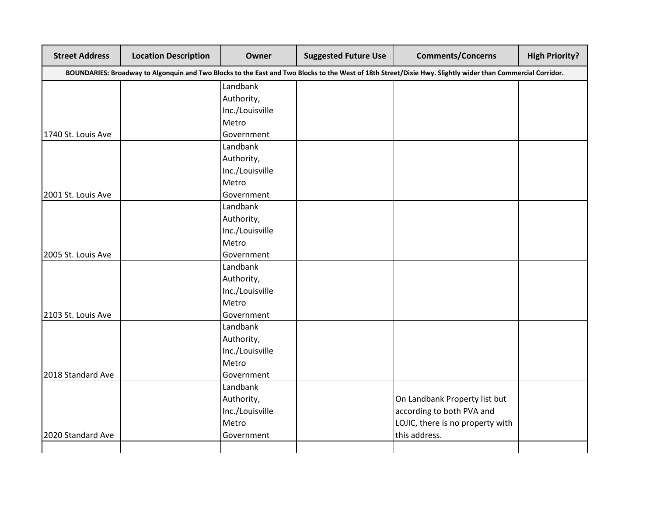| <b>Street Address</b> | <b>Location Description</b> | Owner           | <b>Suggested Future Use</b> | <b>Comments/Concerns</b>                                                                                                                                   | <b>High Priority?</b> |
|-----------------------|-----------------------------|-----------------|-----------------------------|------------------------------------------------------------------------------------------------------------------------------------------------------------|-----------------------|
|                       |                             |                 |                             | BOUNDARIES: Broadway to Algonquin and Two Blocks to the East and Two Blocks to the West of 18th Street/Dixie Hwy. Slightly wider than Commercial Corridor. |                       |
|                       |                             | Landbank        |                             |                                                                                                                                                            |                       |
|                       |                             | Authority,      |                             |                                                                                                                                                            |                       |
|                       |                             | Inc./Louisville |                             |                                                                                                                                                            |                       |
|                       |                             | Metro           |                             |                                                                                                                                                            |                       |
| 1740 St. Louis Ave    |                             | Government      |                             |                                                                                                                                                            |                       |
|                       |                             | Landbank        |                             |                                                                                                                                                            |                       |
|                       |                             | Authority,      |                             |                                                                                                                                                            |                       |
|                       |                             | Inc./Louisville |                             |                                                                                                                                                            |                       |
|                       |                             | Metro           |                             |                                                                                                                                                            |                       |
| 2001 St. Louis Ave    |                             | Government      |                             |                                                                                                                                                            |                       |
|                       |                             | Landbank        |                             |                                                                                                                                                            |                       |
|                       |                             | Authority,      |                             |                                                                                                                                                            |                       |
|                       |                             | Inc./Louisville |                             |                                                                                                                                                            |                       |
|                       |                             | Metro           |                             |                                                                                                                                                            |                       |
| 2005 St. Louis Ave    |                             | Government      |                             |                                                                                                                                                            |                       |
|                       |                             | Landbank        |                             |                                                                                                                                                            |                       |
|                       |                             | Authority,      |                             |                                                                                                                                                            |                       |
|                       |                             | Inc./Louisville |                             |                                                                                                                                                            |                       |
|                       |                             | Metro           |                             |                                                                                                                                                            |                       |
| 2103 St. Louis Ave    |                             | Government      |                             |                                                                                                                                                            |                       |
|                       |                             | Landbank        |                             |                                                                                                                                                            |                       |
|                       |                             | Authority,      |                             |                                                                                                                                                            |                       |
|                       |                             | Inc./Louisville |                             |                                                                                                                                                            |                       |
|                       |                             | Metro           |                             |                                                                                                                                                            |                       |
| 2018 Standard Ave     |                             | Government      |                             |                                                                                                                                                            |                       |
|                       |                             | Landbank        |                             |                                                                                                                                                            |                       |
|                       |                             | Authority,      |                             | On Landbank Property list but                                                                                                                              |                       |
|                       |                             | Inc./Louisville |                             | according to both PVA and                                                                                                                                  |                       |
|                       |                             | Metro           |                             | LOJIC, there is no property with                                                                                                                           |                       |
| 2020 Standard Ave     |                             | Government      |                             | this address.                                                                                                                                              |                       |
|                       |                             |                 |                             |                                                                                                                                                            |                       |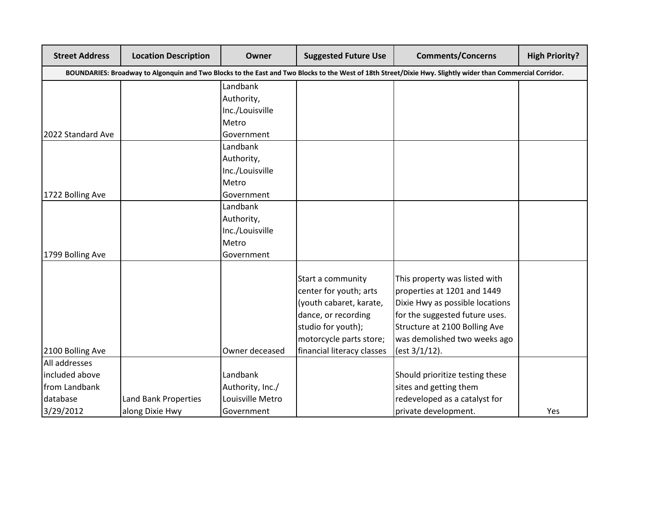| <b>Street Address</b>                                                                                                                                      | <b>Location Description</b> | Owner            | <b>Suggested Future Use</b> | <b>Comments/Concerns</b>        | <b>High Priority?</b> |  |  |  |  |
|------------------------------------------------------------------------------------------------------------------------------------------------------------|-----------------------------|------------------|-----------------------------|---------------------------------|-----------------------|--|--|--|--|
| BOUNDARIES: Broadway to Algonquin and Two Blocks to the East and Two Blocks to the West of 18th Street/Dixie Hwy. Slightly wider than Commercial Corridor. |                             |                  |                             |                                 |                       |  |  |  |  |
|                                                                                                                                                            |                             | Landbank         |                             |                                 |                       |  |  |  |  |
|                                                                                                                                                            |                             | Authority,       |                             |                                 |                       |  |  |  |  |
|                                                                                                                                                            |                             | Inc./Louisville  |                             |                                 |                       |  |  |  |  |
|                                                                                                                                                            |                             | Metro            |                             |                                 |                       |  |  |  |  |
| 2022 Standard Ave                                                                                                                                          |                             | Government       |                             |                                 |                       |  |  |  |  |
|                                                                                                                                                            |                             | Landbank         |                             |                                 |                       |  |  |  |  |
|                                                                                                                                                            |                             | Authority,       |                             |                                 |                       |  |  |  |  |
|                                                                                                                                                            |                             | Inc./Louisville  |                             |                                 |                       |  |  |  |  |
|                                                                                                                                                            |                             | Metro            |                             |                                 |                       |  |  |  |  |
| 1722 Bolling Ave                                                                                                                                           |                             | Government       |                             |                                 |                       |  |  |  |  |
|                                                                                                                                                            |                             | Landbank         |                             |                                 |                       |  |  |  |  |
|                                                                                                                                                            |                             | Authority,       |                             |                                 |                       |  |  |  |  |
|                                                                                                                                                            |                             | Inc./Louisville  |                             |                                 |                       |  |  |  |  |
|                                                                                                                                                            |                             | Metro            |                             |                                 |                       |  |  |  |  |
| 1799 Bolling Ave                                                                                                                                           |                             | Government       |                             |                                 |                       |  |  |  |  |
|                                                                                                                                                            |                             |                  |                             |                                 |                       |  |  |  |  |
|                                                                                                                                                            |                             |                  | Start a community           | This property was listed with   |                       |  |  |  |  |
|                                                                                                                                                            |                             |                  | center for youth; arts      | properties at 1201 and 1449     |                       |  |  |  |  |
|                                                                                                                                                            |                             |                  | (youth cabaret, karate,     | Dixie Hwy as possible locations |                       |  |  |  |  |
|                                                                                                                                                            |                             |                  | dance, or recording         | for the suggested future uses.  |                       |  |  |  |  |
|                                                                                                                                                            |                             |                  | studio for youth);          | Structure at 2100 Bolling Ave   |                       |  |  |  |  |
|                                                                                                                                                            |                             |                  | motorcycle parts store;     | was demolished two weeks ago    |                       |  |  |  |  |
| 2100 Bolling Ave                                                                                                                                           |                             | Owner deceased   | financial literacy classes  | (est 3/1/12).                   |                       |  |  |  |  |
| All addresses                                                                                                                                              |                             |                  |                             |                                 |                       |  |  |  |  |
| included above                                                                                                                                             |                             | Landbank         |                             | Should prioritize testing these |                       |  |  |  |  |
| from Landbank                                                                                                                                              |                             | Authority, Inc./ |                             | sites and getting them          |                       |  |  |  |  |
| database                                                                                                                                                   | Land Bank Properties        | Louisville Metro |                             | redeveloped as a catalyst for   |                       |  |  |  |  |
| 3/29/2012                                                                                                                                                  | along Dixie Hwy             | Government       |                             | private development.            | Yes                   |  |  |  |  |